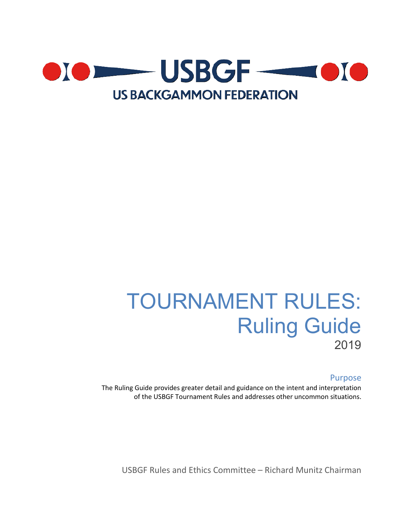

# TOURNAMENT RULES: Ruling Guide 2019

### Purpose

The Ruling Guide provides greater detail and guidance on the intent and interpretation of the USBGF Tournament Rules and addresses other uncommon situations.

USBGF Rules and Ethics Committee – Richard Munitz Chairman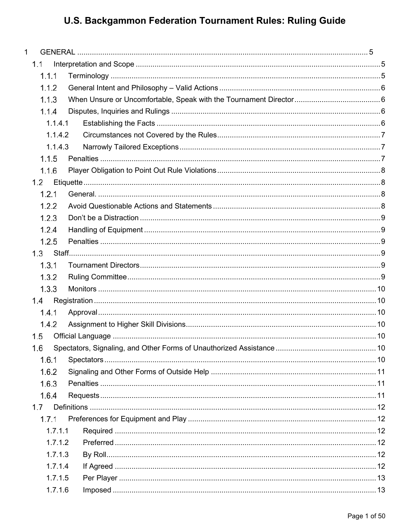| $\mathbf{1}$ |  |
|--------------|--|
| 1.1          |  |
| 1.1.1        |  |
| 1.1.2        |  |
| 1.1.3        |  |
| 1.1.4        |  |
| 1.1.4.1      |  |
| 1.1.4.2      |  |
| 1.1.4.3      |  |
| 1.1.5        |  |
| 1.1.6        |  |
| 1.2          |  |
| 1.2.1        |  |
| 1.2.2        |  |
| 1.2.3        |  |
| 1.2.4        |  |
| 1.2.5        |  |
|              |  |
| 1.3.1        |  |
| 1.3.2        |  |
| 1.3.3        |  |
| 1.4          |  |
| 1.4.1        |  |
| 1.4.2        |  |
| 1.5          |  |
| 1.6          |  |
| 1.6.1        |  |
| 1.6.2        |  |
| 1.6.3        |  |
| 1.6.4        |  |
| 1.7          |  |
| 1.7.1        |  |
| 1.7.1.1      |  |
| 1.7.1.2      |  |
| 1.7.1.3      |  |
| 1.7.1.4      |  |
| 1.7.1.5      |  |
| 1.7.1.6      |  |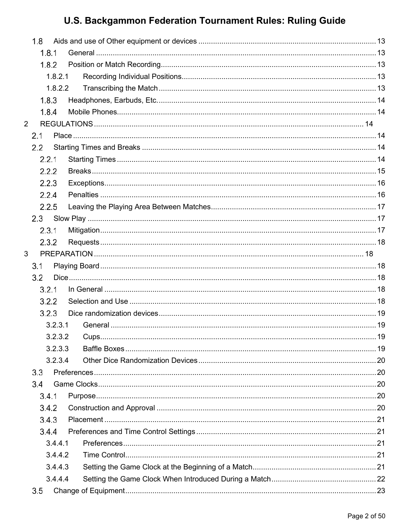| 1.8            |         |  |
|----------------|---------|--|
|                | 1.8.1   |  |
|                | 1.8.2   |  |
|                | 1.8.2.1 |  |
|                | 1.8.2.2 |  |
|                | 1.8.3   |  |
|                | 1.8.4   |  |
| $\overline{2}$ |         |  |
| 2.1            |         |  |
| 2.2            |         |  |
|                | 2.2.1   |  |
|                | 2.2.2   |  |
|                | 2.2.3   |  |
|                | 2.2.4   |  |
|                | 2.2.5   |  |
| 2.3            |         |  |
|                | 2.3.1   |  |
|                | 2.3.2   |  |
| 3              |         |  |
| 3.1            |         |  |
| 3.2            |         |  |
|                | 3.2.1   |  |
|                | 3.2.2   |  |
|                | 3.2.3   |  |
|                | 3.2.3.1 |  |
|                |         |  |
|                | 3.2.3.3 |  |
|                | 3.2.3.4 |  |
| 3.3            |         |  |
| 3.4            |         |  |
|                | 3.4.1   |  |
|                | 3.4.2   |  |
|                | 3.4.3   |  |
|                | 3.4.4   |  |
|                | 3.4.4.1 |  |
|                | 3.4.4.2 |  |
|                | 3.4.4.3 |  |
|                | 3.4.4.4 |  |
| $3.5\,$        |         |  |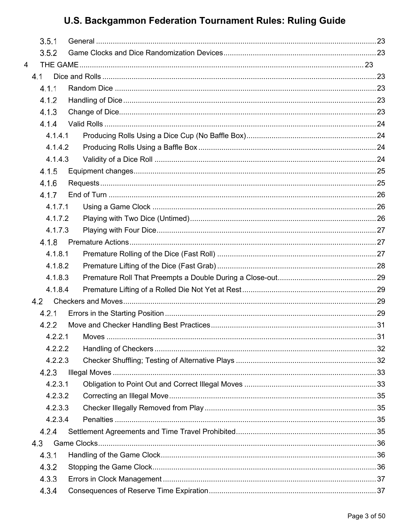| 3.5.1   |  |
|---------|--|
| 3.5.2   |  |
| 4       |  |
| 4.1     |  |
| 4.1.1   |  |
| 4.1.2   |  |
| 4.1.3   |  |
| 4.1.4   |  |
| 4.1.4.1 |  |
| 4.1.4.2 |  |
| 4.1.4.3 |  |
| 4.1.5   |  |
| 4.1.6   |  |
| 4.1.7   |  |
| 4.1.7.1 |  |
| 4.1.7.2 |  |
| 4.1.7.3 |  |
| 4.1.8   |  |
| 4.1.8.1 |  |
| 4.1.8.2 |  |
| 4.1.8.3 |  |
| 4.1.8.4 |  |
| 4.2     |  |
| 4.2.1   |  |
| 4.2.2   |  |
|         |  |
| 4.2.2.2 |  |
| 4.2.2.3 |  |
| 4.2.3   |  |
| 4.2.3.1 |  |
| 4.2.3.2 |  |
| 4.2.3.3 |  |
| 4.2.3.4 |  |
| 4.2.4   |  |
| 4.3     |  |
| 4.3.1   |  |
| 4.3.2   |  |
| 4.3.3   |  |
| 4.3.4   |  |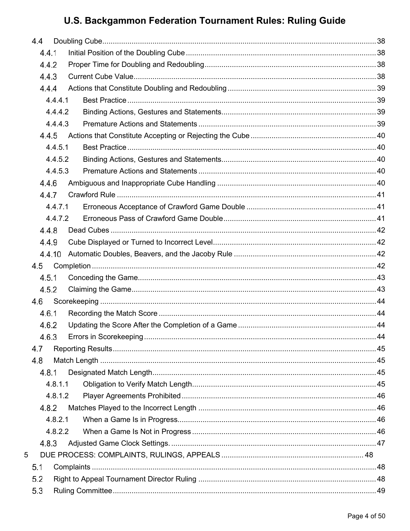|   | 4.4 |         |  |
|---|-----|---------|--|
|   |     | 4.4.1   |  |
|   |     | 4.4.2   |  |
|   |     | 4.4.3   |  |
|   |     | 4.4.4   |  |
|   |     | 4.4.4.1 |  |
|   |     | 4.4.4.2 |  |
|   |     | 4.4.4.3 |  |
|   |     | 4.4.5   |  |
|   |     | 4.4.5.1 |  |
|   |     | 4.4.5.2 |  |
|   |     | 4.4.5.3 |  |
|   |     | 4.4.6   |  |
|   |     | 4.4.7   |  |
|   |     | 4.4.7.1 |  |
|   |     | 4.4.7.2 |  |
|   |     | 4.4.8   |  |
|   |     | 4.4.9   |  |
|   |     | 4.4.10  |  |
|   | 4.5 |         |  |
|   |     | 4.5.1   |  |
|   |     | 4.5.2   |  |
|   | 4.6 |         |  |
|   |     | 4.6.1   |  |
|   |     | 4.6.2   |  |
|   |     | 4.6.3   |  |
|   | 4.7 |         |  |
|   | 4.8 |         |  |
|   |     | 4.8.1   |  |
|   |     | 4.8.1.1 |  |
|   |     | 4.8.1.2 |  |
|   |     | 4.8.2   |  |
|   |     | 4.8.2.1 |  |
|   |     | 4.8.2.2 |  |
|   |     | 4.8.3   |  |
| 5 |     |         |  |
|   | 5.1 |         |  |
|   | 5.2 |         |  |
|   | 5.3 |         |  |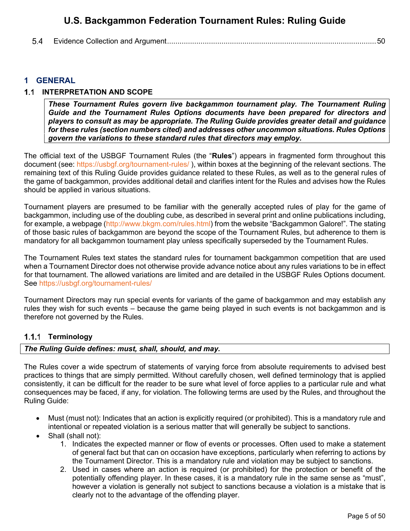#### 5.4 [Evidence Collection and Argument....................................................................................................50](#page-50-0)

## <span id="page-5-0"></span>**1 GENERAL**

### <span id="page-5-1"></span>**1.1 INTERPRETATION AND SCOPE**

*These Tournament Rules govern live backgammon tournament play. The Tournament Ruling Guide and the Tournament Rules Options documents have been prepared for directors and players to consult as may be appropriate. The Ruling Guide provides greater detail and guidance for these rules (section numbers cited) and addresses other uncommon situations. Rules Options govern the variations to these standard rules that directors may employ.*

The official text of the USBGF Tournament Rules (the "**Rules**") appears in fragmented form throughout this document (see: [https://usbgf.org/tournament-rules/ \)](https://usbgf.org/tournament-rules/), within boxes at the beginning of the relevant sections. The remaining text of this Ruling Guide provides guidance related to these Rules, as well as to the general rules of the game of backgammon, provides additional detail and clarifies intent for the Rules and advises how the Rules should be applied in various situations.

Tournament players are presumed to be familiar with the generally accepted rules of play for the game of backgammon, including use of the doubling cube, as described in several print and online publications including, for example, a webpage [\(http://www.bkgm.com/rules.html\)](http://www.bkgm.com/rules.html) from the website "Backgammon Galore!". The stating of those basic rules of backgammon are beyond the scope of the Tournament Rules, but adherence to them is mandatory for all backgammon tournament play unless specifically superseded by the Tournament Rules.

The Tournament Rules text states the standard rules for tournament backgammon competition that are used when a Tournament Director does not otherwise provide advance notice about any rules variations to be in effect for that tournament. The allowed variations are limited and are detailed in the USBGF Rules Options document. See<https://usbgf.org/tournament-rules/>

Tournament Directors may run special events for variants of the game of backgammon and may establish any rules they wish for such events – because the game being played in such events is not backgammon and is therefore not governed by the Rules.

#### <span id="page-5-2"></span>**Terminology**

#### *The Ruling Guide defines: must, shall, should, and may.*

The Rules cover a wide spectrum of statements of varying force from absolute requirements to advised best practices to things that are simply permitted. Without carefully chosen, well defined terminology that is applied consistently, it can be difficult for the reader to be sure what level of force applies to a particular rule and what consequences may be faced, if any, for violation. The following terms are used by the Rules, and throughout the Ruling Guide:

- Must (must not): Indicates that an action is explicitly required (or prohibited). This is a mandatory rule and intentional or repeated violation is a serious matter that will generally be subject to sanctions.
- Shall (shall not):
	- 1. Indicates the expected manner or flow of events or processes. Often used to make a statement of general fact but that can on occasion have exceptions, particularly when referring to actions by the Tournament Director. This is a mandatory rule and violation may be subject to sanctions.
	- 2. Used in cases where an action is required (or prohibited) for the protection or benefit of the potentially offending player. In these cases, it is a mandatory rule in the same sense as "must", however a violation is generally not subject to sanctions because a violation is a mistake that is clearly not to the advantage of the offending player.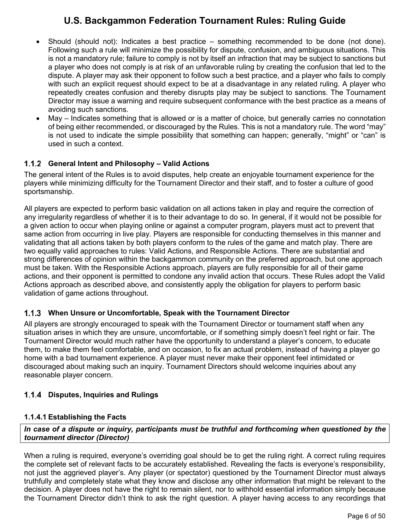- Should (should not): Indicates a best practice something recommended to be done (not done). Following such a rule will minimize the possibility for dispute, confusion, and ambiguous situations. This is not a mandatory rule; failure to comply is not by itself an infraction that may be subject to sanctions but a player who does not comply is at risk of an unfavorable ruling by creating the confusion that led to the dispute. A player may ask their opponent to follow such a best practice, and a player who fails to comply with such an explicit request should expect to be at a disadvantage in any related ruling. A player who repeatedly creates confusion and thereby disrupts play may be subject to sanctions. The Tournament Director may issue a warning and require subsequent conformance with the best practice as a means of avoiding such sanctions.
- May Indicates something that is allowed or is a matter of choice, but generally carries no connotation of being either recommended, or discouraged by the Rules. This is not a mandatory rule. The word "may" is not used to indicate the simple possibility that something can happen; generally, "might" or "can" is used in such a context.

## <span id="page-6-0"></span>**General Intent and Philosophy – Valid Actions**

The general intent of the Rules is to avoid disputes, help create an enjoyable tournament experience for the players while minimizing difficulty for the Tournament Director and their staff, and to foster a culture of good sportsmanship.

All players are expected to perform basic validation on all actions taken in play and require the correction of any irregularity regardless of whether it is to their advantage to do so. In general, if it would not be possible for a given action to occur when playing online or against a computer program, players must act to prevent that same action from occurring in live play. Players are responsible for conducting themselves in this manner and validating that all actions taken by both players conform to the rules of the game and match play. There are two equally valid approaches to rules: Valid Actions, and Responsible Actions. There are substantial and strong differences of opinion within the backgammon community on the preferred approach, but one approach must be taken. With the Responsible Actions approach, players are fully responsible for all of their game actions, and their opponent is permitted to condone any invalid action that occurs. These Rules adopt the Valid Actions approach as described above, and consistently apply the obligation for players to perform basic validation of game actions throughout.

## <span id="page-6-1"></span>**When Unsure or Uncomfortable, Speak with the Tournament Director**

All players are strongly encouraged to speak with the Tournament Director or tournament staff when any situation arises in which they are unsure, uncomfortable, or if something simply doesn't feel right or fair. The Tournament Director would much rather have the opportunity to understand a player's concern, to educate them, to make them feel comfortable, and on occasion, to fix an actual problem, instead of having a player go home with a bad tournament experience. A player must never make their opponent feel intimidated or discouraged about making such an inquiry. Tournament Directors should welcome inquiries about any reasonable player concern.

## <span id="page-6-2"></span>**Disputes, Inquiries and Rulings**

#### <span id="page-6-3"></span>**1.1.4.1 Establishing the Facts**

*In case of a dispute or inquiry, participants must be truthful and forthcoming when questioned by the tournament director (Director)*

When a ruling is required, everyone's overriding goal should be to get the ruling right. A correct ruling requires the complete set of relevant facts to be accurately established. Revealing the facts is everyone's responsibility, not just the aggrieved player's. Any player (or spectator) questioned by the Tournament Director must always truthfully and completely state what they know and disclose any other information that might be relevant to the decision. A player does not have the right to remain silent, nor to withhold essential information simply because the Tournament Director didn't think to ask the right question. A player having access to any recordings that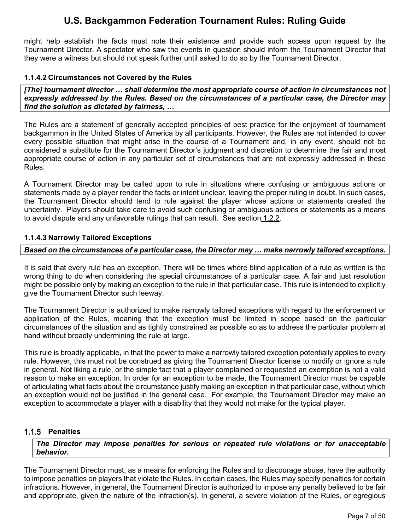might help establish the facts must note their existence and provide such access upon request by the Tournament Director. A spectator who saw the events in question should inform the Tournament Director that they were a witness but should not speak further until asked to do so by the Tournament Director.

#### <span id="page-7-0"></span>**1.1.4.2 Circumstances not Covered by the Rules**

*[The] tournament director … shall determine the most appropriate course of action in circumstances not expressly addressed by the Rules. Based on the circumstances of a particular case, the Director may find the solution as dictated by fairness, …*

The Rules are a statement of generally accepted principles of best practice for the enjoyment of tournament backgammon in the United States of America by all participants. However, the Rules are not intended to cover every possible situation that might arise in the course of a Tournament and, in any event, should not be considered a substitute for the Tournament Director's judgment and discretion to determine the fair and most appropriate course of action in any particular set of circumstances that are not expressly addressed in these Rules.

A Tournament Director may be called upon to rule in situations where confusing or ambiguous actions or statements made by a player render the facts or intent unclear, leaving the proper ruling in doubt. In such cases, the Tournament Director should tend to rule against the player whose actions or statements created the uncertainty. Players should take care to avoid such confusing or ambiguous actions or statements as a means to avoid dispute and any unfavorable rulings that can result. See section [1.2.2.](#page-8-3)

### <span id="page-7-1"></span>**1.1.4.3 Narrowly Tailored Exceptions**

### *Based on the circumstances of a particular case, the Director may … make narrowly tailored exceptions.*

It is said that every rule has an exception. There will be times where blind application of a rule as written is the wrong thing to do when considering the special circumstances of a particular case. A fair and just resolution might be possible only by making an exception to the rule in that particular case. This rule is intended to explicitly give the Tournament Director such leeway.

The Tournament Director is authorized to make narrowly tailored exceptions with regard to the enforcement or application of the Rules, meaning that the exception must be limited in scope based on the particular circumstances of the situation and as tightly constrained as possible so as to address the particular problem at hand without broadly undermining the rule at large.

This rule is broadly applicable, in that the power to make a narrowly tailored exception potentially applies to every rule. However, this must not be construed as giving the Tournament Director license to modify or ignore a rule in general. Not liking a rule, or the simple fact that a player complained or requested an exemption is not a valid reason to make an exception. In order for an exception to be made, the Tournament Director must be capable of articulating what facts about the circumstance justify making an exception in that particular case, without which an exception would not be justified in the general case. For example, the Tournament Director may make an exception to accommodate a player with a disability that they would not make for the typical player.

## <span id="page-7-2"></span>**Penalties**

*The Director may impose penalties for serious or repeated rule violations or for unacceptable behavior.*

The Tournament Director must, as a means for enforcing the Rules and to discourage abuse, have the authority to impose penalties on players that violate the Rules. In certain cases, the Rules may specify penalties for certain infractions. However, in general, the Tournament Director is authorized to impose any penalty believed to be fair and appropriate, given the nature of the infraction(s). In general, a severe violation of the Rules, or egregious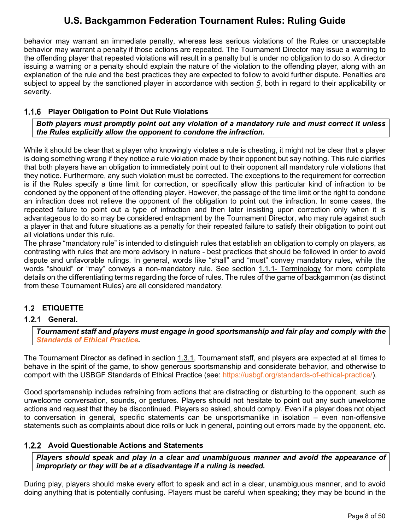behavior may warrant an immediate penalty, whereas less serious violations of the Rules or unacceptable behavior may warrant a penalty if those actions are repeated. The Tournament Director may issue a warning to the offending player that repeated violations will result in a penalty but is under no obligation to do so. A director issuing a warning or a penalty should explain the nature of the violation to the offending player, along with an explanation of the rule and the best practices they are expected to follow to avoid further dispute. Penalties are subject to appeal by the sanctioned player in accordance with section *[5](#page-48-0)*, both in regard to their applicability or severity.

## <span id="page-8-0"></span>**Player Obligation to Point Out Rule Violations**

*Both players must promptly point out any violation of a mandatory rule and must correct it unless the Rules explicitly allow the opponent to condone the infraction.*

While it should be clear that a player who knowingly violates a rule is cheating, it might not be clear that a player is doing something wrong if they notice a rule violation made by their opponent but say nothing. This rule clarifies that both players have an obligation to immediately point out to their opponent all mandatory rule violations that they notice. Furthermore, any such violation must be corrected. The exceptions to the requirement for correction is if the Rules specify a time limit for correction, or specifically allow this particular kind of infraction to be condoned by the opponent of the offending player. However, the passage of the time limit or the right to condone an infraction does not relieve the opponent of the obligation to point out the infraction. In some cases, the repeated failure to point out a type of infraction and then later insisting upon correction only when it is advantageous to do so may be considered entrapment by the Tournament Director, who may rule against such a player in that and future situations as a penalty for their repeated failure to satisfy their obligation to point out all violations under this rule.

The phrase "mandatory rule" is intended to distinguish rules that establish an obligation to comply on players, as contrasting with rules that are more advisory in nature - best practices that should be followed in order to avoid dispute and unfavorable rulings. In general, words like "shall" and "must" convey mandatory rules, while the words "should" or "may" conveys a non-mandatory rule. See section [1.1.1- Terminology](#page-5-2) for more complete details on the differentiating terms regarding the force of rules. The rules of the game of backgammon (as distinct from these Tournament Rules) are all considered mandatory.

## <span id="page-8-1"></span>**ETIQUETTE**

#### <span id="page-8-2"></span>**General.**

*Tournament staff and players must engage in good sportsmanship and fair play and comply with the [Standards of Ethical Practice.](http://usbgf.org/standards-of-ethical-practice/)* 

The Tournament Director as defined in section [1.3.1,](#page-9-4) Tournament staff, and players are expected at all times to behave in the spirit of the game, to show generous sportsmanship and considerate behavior, and otherwise to comport with the USBGF Standards of Ethical Practice (see: [https://usbgf.org/standards-of-ethical-practice/\)](https://usbgf.org/standards-of-ethical-practice/).

Good sportsmanship includes refraining from actions that are distracting or disturbing to the opponent, such as unwelcome conversation, sounds, or gestures. Players should not hesitate to point out any such unwelcome actions and request that they be discontinued. Players so asked, should comply. Even if a player does not object to conversation in general, specific statements can be unsportsmanlike in isolation – even non-offensive statements such as complaints about dice rolls or luck in general, pointing out errors made by the opponent, etc.

#### <span id="page-8-3"></span>**Avoid Questionable Actions and Statements**

*Players should speak and play in a clear and unambiguous manner and avoid the appearance of impropriety or they will be at a disadvantage if a ruling is needed.*

During play, players should make every effort to speak and act in a clear, unambiguous manner, and to avoid doing anything that is potentially confusing. Players must be careful when speaking; they may be bound in the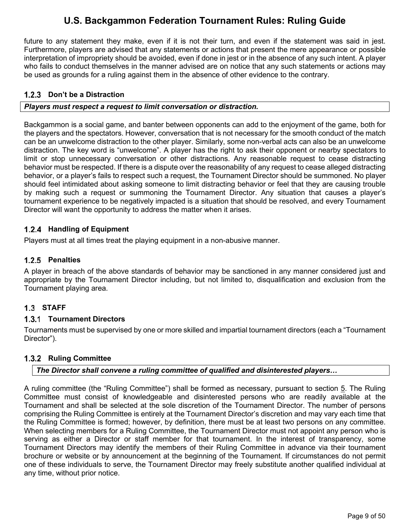future to any statement they make, even if it is not their turn, and even if the statement was said in jest. Furthermore, players are advised that any statements or actions that present the mere appearance or possible interpretation of impropriety should be avoided, even if done in jest or in the absence of any such intent. A player who fails to conduct themselves in the manner advised are on notice that any such statements or actions may be used as grounds for a ruling against them in the absence of other evidence to the contrary.

## <span id="page-9-0"></span>**1.2.3** Don't be a Distraction

### *Players must respect a request to limit conversation or distraction.*

Backgammon is a social game, and banter between opponents can add to the enjoyment of the game, both for the players and the spectators. However, conversation that is not necessary for the smooth conduct of the match can be an unwelcome distraction to the other player. Similarly, some non-verbal acts can also be an unwelcome distraction. The key word is "unwelcome". A player has the right to ask their opponent or nearby spectators to limit or stop unnecessary conversation or other distractions. Any reasonable request to cease distracting behavior must be respected. If there is a dispute over the reasonability of any request to cease alleged distracting behavior, or a player's fails to respect such a request, the Tournament Director should be summoned. No player should feel intimidated about asking someone to limit distracting behavior or feel that they are causing trouble by making such a request or summoning the Tournament Director. Any situation that causes a player's tournament experience to be negatively impacted is a situation that should be resolved, and every Tournament Director will want the opportunity to address the matter when it arises.

## <span id="page-9-1"></span>**Handling of Equipment**

Players must at all times treat the playing equipment in a non-abusive manner.

## <span id="page-9-2"></span>**Penalties**

A player in breach of the above standards of behavior may be sanctioned in any manner considered just and appropriate by the Tournament Director including, but not limited to, disqualification and exclusion from the Tournament playing area.

## <span id="page-9-3"></span>**STAFF**

#### <span id="page-9-4"></span>**Tournament Directors**

Tournaments must be supervised by one or more skilled and impartial tournament directors (each a "Tournament Director").

## <span id="page-9-5"></span>**1.3.2 Ruling Committee**

## *The Director shall convene a ruling committee of qualified and disinterested players…*

A ruling committee (the "Ruling Committee") shall be formed as necessary, pursuant to section [5.](#page-48-0) The Ruling Committee must consist of knowledgeable and disinterested persons who are readily available at the Tournament and shall be selected at the sole discretion of the Tournament Director. The number of persons comprising the Ruling Committee is entirely at the Tournament Director's discretion and may vary each time that the Ruling Committee is formed; however, by definition, there must be at least two persons on any committee. When selecting members for a Ruling Committee, the Tournament Director must not appoint any person who is serving as either a Director or staff member for that tournament. In the interest of transparency, some Tournament Directors may identify the members of their Ruling Committee in advance via their tournament brochure or website or by announcement at the beginning of the Tournament. If circumstances do not permit one of these individuals to serve, the Tournament Director may freely substitute another qualified individual at any time, without prior notice.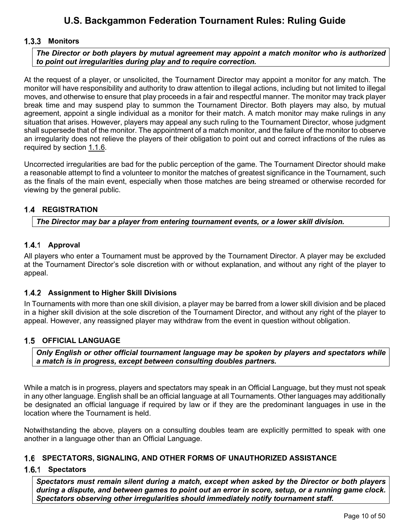### <span id="page-10-0"></span>**Monitors**

*The Director or both players by mutual agreement may appoint a match monitor who is authorized to point out irregularities during play and to require correction.*

At the request of a player, or unsolicited, the Tournament Director may appoint a monitor for any match. The monitor will have responsibility and authority to draw attention to illegal actions, including but not limited to illegal moves, and otherwise to ensure that play proceeds in a fair and respectful manner. The monitor may track player break time and may suspend play to summon the Tournament Director. Both players may also, by mutual agreement, appoint a single individual as a monitor for their match. A match monitor may make rulings in any situation that arises. However, players may appeal any such ruling to the Tournament Director, whose judgment shall supersede that of the monitor. The appointment of a match monitor, and the failure of the monitor to observe an irregularity does not relieve the players of their obligation to point out and correct infractions of the rules as required by section [1.1.6.](#page-8-0)

Uncorrected irregularities are bad for the public perception of the game. The Tournament Director should make a reasonable attempt to find a volunteer to monitor the matches of greatest significance in the Tournament, such as the finals of the main event, especially when those matches are being streamed or otherwise recorded for viewing by the general public.

### <span id="page-10-1"></span>**1.4 REGISTRATION**

*The Director may bar a player from entering tournament events, or a lower skill division.*

#### <span id="page-10-2"></span>**Approval**

All players who enter a Tournament must be approved by the Tournament Director. A player may be excluded at the Tournament Director's sole discretion with or without explanation, and without any right of the player to appeal.

#### <span id="page-10-3"></span>**Assignment to Higher Skill Divisions**

In Tournaments with more than one skill division, a player may be barred from a lower skill division and be placed in a higher skill division at the sole discretion of the Tournament Director, and without any right of the player to appeal. However, any reassigned player may withdraw from the event in question without obligation.

#### <span id="page-10-4"></span>**1.5 OFFICIAL LANGUAGE**

*Only English or other official tournament language may be spoken by players and spectators while a match is in progress, except between consulting doubles partners.*

While a match is in progress, players and spectators may speak in an Official Language, but they must not speak in any other language. English shall be an official language at all Tournaments. Other languages may additionally be designated an official language if required by law or if they are the predominant languages in use in the location where the Tournament is held.

Notwithstanding the above, players on a consulting doubles team are explicitly permitted to speak with one another in a language other than an Official Language.

#### <span id="page-10-5"></span>**SPECTATORS, SIGNALING, AND OTHER FORMS OF UNAUTHORIZED ASSISTANCE**

#### <span id="page-10-6"></span>1.6.1 Spectators

*Spectators must remain silent during a match, except when asked by the Director or both players during a dispute, and between games to point out an error in score, setup, or a running game clock. Spectators observing other irregularities should immediately notify tournament staff.*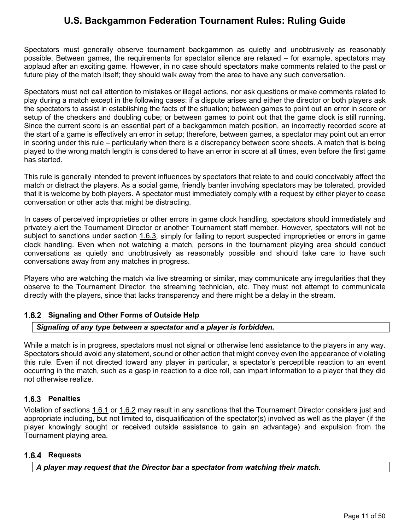Spectators must generally observe tournament backgammon as quietly and unobtrusively as reasonably possible. Between games, the requirements for spectator silence are relaxed – for example, spectators may applaud after an exciting game. However, in no case should spectators make comments related to the past or future play of the match itself; they should walk away from the area to have any such conversation.

Spectators must not call attention to mistakes or illegal actions, nor ask questions or make comments related to play during a match except in the following cases: if a dispute arises and either the director or both players ask the spectators to assist in establishing the facts of the situation; between games to point out an error in score or setup of the checkers and doubling cube; or between games to point out that the game clock is still running. Since the current score is an essential part of a backgammon match position, an incorrectly recorded score at the start of a game is effectively an error in setup; therefore, between games, a spectator may point out an error in scoring under this rule – particularly when there is a discrepancy between score sheets. A match that is being played to the wrong match length is considered to have an error in score at all times, even before the first game has started.

This rule is generally intended to prevent influences by spectators that relate to and could conceivably affect the match or distract the players. As a social game, friendly banter involving spectators may be tolerated, provided that it is welcome by both players. A spectator must immediately comply with a request by either player to cease conversation or other acts that might be distracting.

In cases of perceived improprieties or other errors in game clock handling, spectators should immediately and privately alert the Tournament Director or another Tournament staff member. However, spectators will not be subject to sanctions under section [1.6.3,](#page-11-1) simply for failing to report suspected improprieties or errors in game clock handling. Even when not watching a match, persons in the tournament playing area should conduct conversations as quietly and unobtrusively as reasonably possible and should take care to have such conversations away from any matches in progress.

Players who are watching the match via live streaming or similar, may communicate any irregularities that they observe to the Tournament Director, the streaming technician, etc. They must not attempt to communicate directly with the players, since that lacks transparency and there might be a delay in the stream.

## <span id="page-11-0"></span>**Signaling and Other Forms of Outside Help**

#### *Signaling of any type between a spectator and a player is forbidden.*

While a match is in progress, spectators must not signal or otherwise lend assistance to the players in any way. Spectators should avoid any statement, sound or other action that might convey even the appearance of violating this rule. Even if not directed toward any player in particular, a spectator's perceptible reaction to an event occurring in the match, such as a gasp in reaction to a dice roll, can impart information to a player that they did not otherwise realize.

#### <span id="page-11-1"></span>**Penalties**

Violation of sections [1.6.1](#page-10-6) or [1.6.2](#page-11-0) may result in any sanctions that the Tournament Director considers just and appropriate including, but not limited to, disqualification of the spectator(s) involved as well as the player (if the player knowingly sought or received outside assistance to gain an advantage) and expulsion from the Tournament playing area.

#### <span id="page-11-2"></span>**Requests**

*A player may request that the Director bar a spectator from watching their match.*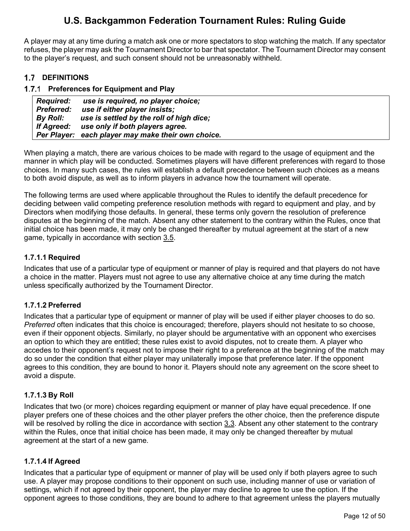A player may at any time during a match ask one or more spectators to stop watching the match. If any spectator refuses, the player may ask the Tournament Director to bar that spectator. The Tournament Director may consent to the player's request, and such consent should not be unreasonably withheld.

## <span id="page-12-0"></span>**1.7 DEFINITIONS**

### <span id="page-12-1"></span>**Preferences for Equipment and Play**

| Required:         | use is required, no player choice;                 |
|-------------------|----------------------------------------------------|
| <b>Preferred:</b> | use if either player insists;                      |
| By Roll:          | use is settled by the roll of high dice;           |
| If Agreed:        | use only if both players agree.                    |
|                   | Per Player: each player may make their own choice. |

When playing a match, there are various choices to be made with regard to the usage of equipment and the manner in which play will be conducted. Sometimes players will have different preferences with regard to those choices. In many such cases, the rules will establish a default precedence between such choices as a means to both avoid dispute, as well as to inform players in advance how the tournament will operate.

The following terms are used where applicable throughout the Rules to identify the default precedence for deciding between valid competing preference resolution methods with regard to equipment and play, and by Directors when modifying those defaults. In general, these terms only govern the resolution of preference disputes at the beginning of the match. Absent any other statement to the contrary within the Rules, once that initial choice has been made, it may only be changed thereafter by mutual agreement at the start of a new game, typically in accordance with section [3.5.](#page-23-0)

### <span id="page-12-2"></span>**1.7.1.1 Required**

Indicates that use of a particular type of equipment or manner of play is required and that players do not have a choice in the matter. Players must not agree to use any alternative choice at any time during the match unless specifically authorized by the Tournament Director.

## <span id="page-12-3"></span>**1.7.1.2 Preferred**

Indicates that a particular type of equipment or manner of play will be used if either player chooses to do so. *Preferred* often indicates that this choice is encouraged; therefore, players should not hesitate to so choose, even if their opponent objects. Similarly, no player should be argumentative with an opponent who exercises an option to which they are entitled; these rules exist to avoid disputes, not to create them. A player who accedes to their opponent's request not to impose their right to a preference at the beginning of the match may do so under the condition that either player may unilaterally impose that preference later. If the opponent agrees to this condition, they are bound to honor it. Players should note any agreement on the score sheet to avoid a dispute.

## <span id="page-12-4"></span>**1.7.1.3 By Roll**

Indicates that two (or more) choices regarding equipment or manner of play have equal precedence. If one player prefers one of these choices and the other player prefers the other choice, then the preference dispute will be resolved by rolling the dice in accordance with section  $3.3$ . Absent any other statement to the contrary within the Rules, once that initial choice has been made, it may only be changed thereafter by mutual agreement at the start of a new game.

#### <span id="page-12-5"></span>**1.7.1.4 If Agreed**

Indicates that a particular type of equipment or manner of play will be used only if both players agree to such use. A player may propose conditions to their opponent on such use, including manner of use or variation of settings, which if not agreed by their opponent, the player may decline to agree to use the option. If the opponent agrees to those conditions, they are bound to adhere to that agreement unless the players mutually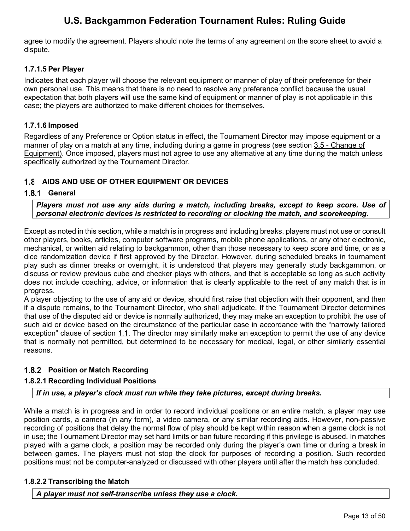agree to modify the agreement. Players should note the terms of any agreement on the score sheet to avoid a dispute.

### <span id="page-13-0"></span>**1.7.1.5 Per Player**

Indicates that each player will choose the relevant equipment or manner of play of their preference for their own personal use. This means that there is no need to resolve any preference conflict because the usual expectation that both players will use the same kind of equipment or manner of play is not applicable in this case; the players are authorized to make different choices for themselves.

### <span id="page-13-1"></span>**1.7.1.6 Imposed**

Regardless of any Preference or Option status in effect, the Tournament Director may impose equipment or a manner of play on a match at any time, including during a game in progress (see section [3.5](#page-23-0) - [Change of](#page-23-0)  [Equipment\)](#page-23-0). Once imposed, players must not agree to use any alternative at any time during the match unless specifically authorized by the Tournament Director.

## <span id="page-13-2"></span>**AIDS AND USE OF OTHER EQUIPMENT OR DEVICES**

### <span id="page-13-3"></span>**General**

*Players must not use any aids during a match, including breaks, except to keep score. Use of personal electronic devices is restricted to recording or clocking the match, and scorekeeping.* 

Except as noted in this section, while a match is in progress and including breaks, players must not use or consult other players, books, articles, computer software programs, mobile phone applications, or any other electronic, mechanical, or written aid relating to backgammon, other than those necessary to keep score and time, or as a dice randomization device if first approved by the Director. However, during scheduled breaks in tournament play such as dinner breaks or overnight, it is understood that players may generally study backgammon, or discuss or review previous cube and checker plays with others, and that is acceptable so long as such activity does not include coaching, advice, or information that is clearly applicable to the rest of any match that is in progress.

A player objecting to the use of any aid or device, should first raise that objection with their opponent, and then if a dispute remains, to the Tournament Director, who shall adjudicate. If the Tournament Director determines that use of the disputed aid or device is normally authorized, they may make an exception to prohibit the use of such aid or device based on the circumstance of the particular case in accordance with the "narrowly tailored exception" clause of section [1.1.](#page-5-1) The director may similarly make an exception to permit the use of any device that is normally not permitted, but determined to be necessary for medical, legal, or other similarly essential reasons.

## <span id="page-13-4"></span>**Position or Match Recording**

## <span id="page-13-5"></span>**1.8.2.1 Recording Individual Positions**

#### *If in use, a player's clock must run while they take pictures, except during breaks.*

While a match is in progress and in order to record individual positions or an entire match, a player may use position cards, a camera (in any form), a video camera, or any similar recording aids. However, non-passive recording of positions that delay the normal flow of play should be kept within reason when a game clock is not in use; the Tournament Director may set hard limits or ban future recording if this privilege is abused. In matches played with a game clock, a position may be recorded only during the player's own time or during a break in between games. The players must not stop the clock for purposes of recording a position. Such recorded positions must not be computer-analyzed or discussed with other players until after the match has concluded.

#### <span id="page-13-6"></span>**1.8.2.2 Transcribing the Match**

*A player must not self-transcribe unless they use a clock.*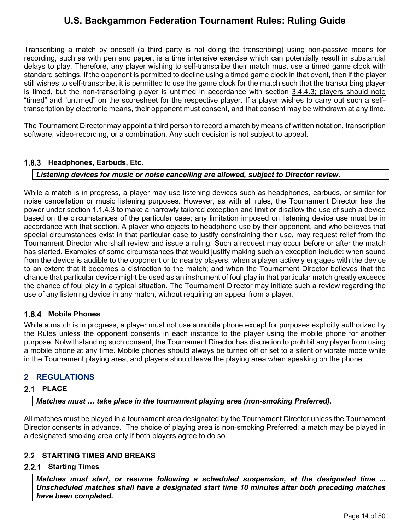Transcribing a match by oneself (a third party is not doing the transcribing) using non-passive means for recording, such as with pen and paper, is a time intensive exercise which can potentially result in substantial delays to play. Therefore, any player wishing to self-transcribe their match must use a timed game clock with standard settings. If the opponent is permitted to decline using a timed game clock in that event, then if the player still wishes to self-transcribe, it is permitted to use the game clock for the match such that the transcribing player is timed, but the non-transcribing player is untimed in accordance with section [3.4.4.3;](#page-21-4) players should note "timed" and "untimed" on the scoresheet for the respective player. If a player wishes to carry out such a selftranscription by electronic means, their opponent must consent, and that consent may be withdrawn at any time.

The Tournament Director may appoint a third person to record a match by means of written notation, transcription software, video-recording, or a combination. Any such decision is not subject to appeal.

## <span id="page-14-0"></span>**Headphones, Earbuds, Etc.**

#### *Listening devices for music or noise cancelling are allowed, subject to Director review.*

While a match is in progress, a player may use listening devices such as headphones, earbuds, or similar for noise cancellation or music listening purposes. However, as with all rules, the Tournament Director has the power under section [1.1.4.3](#page-7-1) to make a narrowly tailored exception and limit or disallow the use of such a device based on the circumstances of the particular case; any limitation imposed on listening device use must be in accordance with that section. A player who objects to headphone use by their opponent, and who believes that special circumstances exist in that particular case to justify constraining their use, may request relief from the Tournament Director who shall review and issue a ruling. Such a request may occur before or after the match has started. Examples of some circumstances that would justify making such an exception include: when sound from the device is audible to the opponent or to nearby players; when a player actively engages with the device to an extent that it becomes a distraction to the match; and when the Tournament Director believes that the chance that particular device might be used as an instrument of foul play in that particular match greatly exceeds the chance of foul play in a typical situation. The Tournament Director may initiate such a review regarding the use of any listening device in any match, without requiring an appeal from a player.

#### <span id="page-14-1"></span>**Mobile Phones**

While a match is in progress, a player must not use a mobile phone except for purposes explicitly authorized by the Rules unless the opponent consents in each instance to the player using the mobile phone for another purpose. Notwithstanding such consent, the Tournament Director has discretion to prohibit any player from using a mobile phone at any time. Mobile phones should always be turned off or set to a silent or vibrate mode while in the Tournament playing area, and players should leave the playing area when speaking on the phone.

## <span id="page-14-2"></span>**2 REGULATIONS**

#### <span id="page-14-3"></span>2.1 **PLACE**

*Matches must … take place in the tournament playing area (non-smoking Preferred).* 

All matches must be played in a tournament area designated by the Tournament Director unless the Tournament Director consents in advance. The choice of playing area is non-smoking Preferred; a match may be played in a designated smoking area only if both players agree to do so.

### <span id="page-14-4"></span>**STARTING TIMES AND BREAKS**

#### <span id="page-14-5"></span>**Starting Times**

*Matches must start, or resume following a scheduled suspension, at the designated time ... Unscheduled matches shall have a designated start time 10 minutes after both preceding matches have been completed.*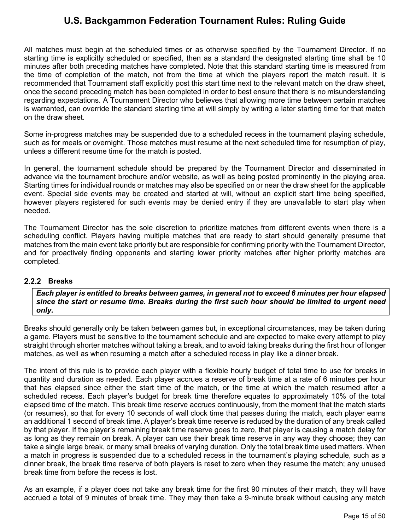All matches must begin at the scheduled times or as otherwise specified by the Tournament Director. If no starting time is explicitly scheduled or specified, then as a standard the designated starting time shall be 10 minutes after both preceding matches have completed. Note that this standard starting time is measured from the time of completion of the match, not from the time at which the players report the match result. It is recommended that Tournament staff explicitly post this start time next to the relevant match on the draw sheet, once the second preceding match has been completed in order to best ensure that there is no misunderstanding regarding expectations. A Tournament Director who believes that allowing more time between certain matches is warranted, can override the standard starting time at will simply by writing a later starting time for that match on the draw sheet.

Some in-progress matches may be suspended due to a scheduled recess in the tournament playing schedule, such as for meals or overnight. Those matches must resume at the next scheduled time for resumption of play, unless a different resume time for the match is posted.

In general, the tournament schedule should be prepared by the Tournament Director and disseminated in advance via the tournament brochure and/or website, as well as being posted prominently in the playing area. Starting times for individual rounds or matches may also be specified on or near the draw sheet for the applicable event. Special side events may be created and started at will, without an explicit start time being specified, however players registered for such events may be denied entry if they are unavailable to start play when needed.

The Tournament Director has the sole discretion to prioritize matches from different events when there is a scheduling conflict. Players having multiple matches that are ready to start should generally presume that matches from the main event take priority but are responsible for confirming priority with the Tournament Director, and for proactively finding opponents and starting lower priority matches after higher priority matches are completed.

#### <span id="page-15-0"></span>2.2.2 Breaks

*Each player is entitled to breaks between games, in general not to exceed 6 minutes per hour elapsed since the start or resume time. Breaks during the first such hour should be limited to urgent need only.*

Breaks should generally only be taken between games but, in exceptional circumstances, may be taken during a game. Players must be sensitive to the tournament schedule and are expected to make every attempt to play straight through shorter matches without taking a break, and to avoid taking breaks during the first hour of longer matches, as well as when resuming a match after a scheduled recess in play like a dinner break.

The intent of this rule is to provide each player with a flexible hourly budget of total time to use for breaks in quantity and duration as needed. Each player accrues a reserve of break time at a rate of 6 minutes per hour that has elapsed since either the start time of the match, or the time at which the match resumed after a scheduled recess. Each player's budget for break time therefore equates to approximately 10% of the total elapsed time of the match. This break time reserve accrues continuously, from the moment that the match starts (or resumes), so that for every 10 seconds of wall clock time that passes during the match, each player earns an additional 1 second of break time. A player's break time reserve is reduced by the duration of any break called by that player. If the player's remaining break time reserve goes to zero, that player is causing a match delay for as long as they remain on break. A player can use their break time reserve in any way they choose; they can take a single large break, or many small breaks of varying duration. Only the total break time used matters. When a match in progress is suspended due to a scheduled recess in the tournament's playing schedule, such as a dinner break, the break time reserve of both players is reset to zero when they resume the match; any unused break time from before the recess is lost.

As an example, if a player does not take any break time for the first 90 minutes of their match, they will have accrued a total of 9 minutes of break time. They may then take a 9-minute break without causing any match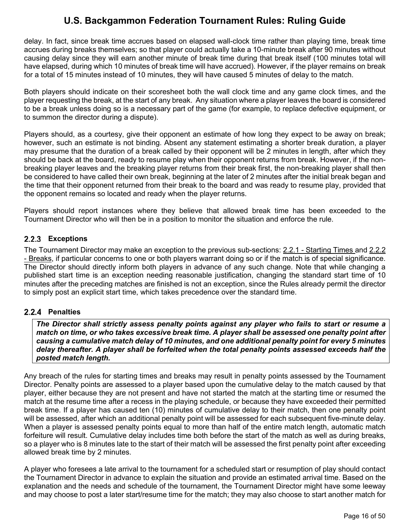delay. In fact, since break time accrues based on elapsed wall-clock time rather than playing time, break time accrues during breaks themselves; so that player could actually take a 10-minute break after 90 minutes without causing delay since they will earn another minute of break time during that break itself (100 minutes total will have elapsed, during which 10 minutes of break time will have accrued). However, if the player remains on break for a total of 15 minutes instead of 10 minutes, they will have caused 5 minutes of delay to the match.

Both players should indicate on their scoresheet both the wall clock time and any game clock times, and the player requesting the break, at the start of any break. Any situation where a player leaves the board is considered to be a break unless doing so is a necessary part of the game (for example, to replace defective equipment, or to summon the director during a dispute).

Players should, as a courtesy, give their opponent an estimate of how long they expect to be away on break; however, such an estimate is not binding. Absent any statement estimating a shorter break duration, a player may presume that the duration of a break called by their opponent will be 2 minutes in length, after which they should be back at the board, ready to resume play when their opponent returns from break. However, if the nonbreaking player leaves and the breaking player returns from their break first, the non-breaking player shall then be considered to have called their own break, beginning at the later of 2 minutes after the initial break began and the time that their opponent returned from their break to the board and was ready to resume play, provided that the opponent remains so located and ready when the player returns.

Players should report instances where they believe that allowed break time has been exceeded to the Tournament Director who will then be in a position to monitor the situation and enforce the rule.

## <span id="page-16-0"></span>**Exceptions**

The Tournament Director may make an exception to the previous sub-sections: [2.2.1](#page-14-5) - [Starting Times](#page-14-5) and [2.2.2](#page-15-0) - [Breaks,](#page-15-0) if particular concerns to one or both players warrant doing so or if the match is of special significance. The Director should directly inform both players in advance of any such change. Note that while changing a published start time is an exception needing reasonable justification, changing the standard start time of 10 minutes after the preceding matches are finished is not an exception, since the Rules already permit the director to simply post an explicit start time, which takes precedence over the standard time.

## <span id="page-16-1"></span>2.2.4 Penalties

*The Director shall strictly assess penalty points against any player who fails to start or resume a match on time, or who takes excessive break time. A player shall be assessed one penalty point after causing a cumulative match delay of 10 minutes, and one additional penalty point for every 5 minutes delay thereafter. A player shall be forfeited when the total penalty points assessed exceeds half the posted match length.* 

Any breach of the rules for starting times and breaks may result in penalty points assessed by the Tournament Director. Penalty points are assessed to a player based upon the cumulative delay to the match caused by that player, either because they are not present and have not started the match at the starting time or resumed the match at the resume time after a recess in the playing schedule, or because they have exceeded their permitted break time. If a player has caused ten (10) minutes of cumulative delay to their match, then one penalty point will be assessed, after which an additional penalty point will be assessed for each subsequent five-minute delay. When a player is assessed penalty points equal to more than half of the entire match length, automatic match forfeiture will result. Cumulative delay includes time both before the start of the match as well as during breaks, so a player who is 8 minutes late to the start of their match will be assessed the first penalty point after exceeding allowed break time by 2 minutes.

A player who foresees a late arrival to the tournament for a scheduled start or resumption of play should contact the Tournament Director in advance to explain the situation and provide an estimated arrival time. Based on the explanation and the needs and schedule of the tournament, the Tournament Director might have some leeway and may choose to post a later start/resume time for the match; they may also choose to start another match for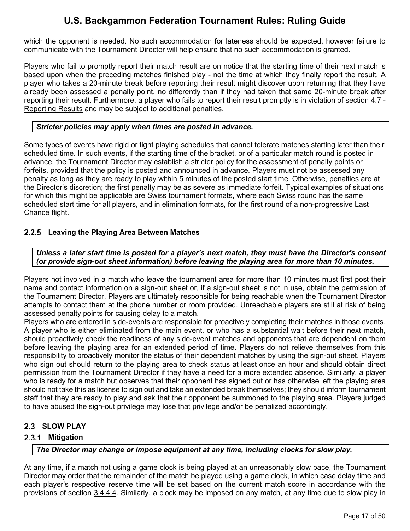which the opponent is needed. No such accommodation for lateness should be expected, however failure to communicate with the Tournament Director will help ensure that no such accommodation is granted.

Players who fail to promptly report their match result are on notice that the starting time of their next match is based upon when the preceding matches finished play - not the time at which they finally report the result. A player who takes a 20-minute break before reporting their result might discover upon returning that they have already been assessed a penalty point, no differently than if they had taken that same 20-minute break after reporting their result. Furthermore, a player who fails to report their result promptly is in violation of section [4.7](#page-45-0) - [Reporting Results](#page-45-0) and may be subject to additional penalties.

#### *Stricter policies may apply when times are posted in advance.*

Some types of events have rigid or tight playing schedules that cannot tolerate matches starting later than their scheduled time. In such events, if the starting time of the bracket, or of a particular match round is posted in advance, the Tournament Director may establish a stricter policy for the assessment of penalty points or forfeits, provided that the policy is posted and announced in advance. Players must not be assessed any penalty as long as they are ready to play within 5 minutes of the posted start time. Otherwise, penalties are at the Director's discretion; the first penalty may be as severe as immediate forfeit. Typical examples of situations for which this might be applicable are Swiss tournament formats, where each Swiss round has the same scheduled start time for all players, and in elimination formats, for the first round of a non-progressive Last Chance flight.

### <span id="page-17-0"></span>**Leaving the Playing Area Between Matches**

*Unless a later start time is posted for a player's next match, they must have the Director's consent (or provide sign-out sheet information) before leaving the playing area for more than 10 minutes.*

Players not involved in a match who leave the tournament area for more than 10 minutes must first post their name and contact information on a sign-out sheet or, if a sign-out sheet is not in use, obtain the permission of the Tournament Director. Players are ultimately responsible for being reachable when the Tournament Director attempts to contact them at the phone number or room provided. Unreachable players are still at risk of being assessed penalty points for causing delay to a match.

Players who are entered in side-events are responsible for proactively completing their matches in those events. A player who is either eliminated from the main event, or who has a substantial wait before their next match, should proactively check the readiness of any side-event matches and opponents that are dependent on them before leaving the playing area for an extended period of time. Players do not relieve themselves from this responsibility to proactively monitor the status of their dependent matches by using the sign-out sheet. Players who sign out should return to the playing area to check status at least once an hour and should obtain direct permission from the Tournament Director if they have a need for a more extended absence. Similarly, a player who is ready for a match but observes that their opponent has signed out or has otherwise left the playing area should not take this as license to sign out and take an extended break themselves; they should inform tournament staff that they are ready to play and ask that their opponent be summoned to the playing area. Players judged to have abused the sign-out privilege may lose that privilege and/or be penalized accordingly.

## <span id="page-17-1"></span>2.3 **SLOW PLAY**

## <span id="page-17-2"></span>2.3.1 Mitigation

#### *The Director may change or impose equipment at any time, including clocks for slow play.*

At any time, if a match not using a game clock is being played at an unreasonably slow pace, the Tournament Director may order that the remainder of the match be played using a game clock, in which case delay time and each player's respective reserve time will be set based on the current match score in accordance with the provisions of section [3.4.4.4.](#page-22-0) Similarly, a clock may be imposed on any match, at any time due to slow play in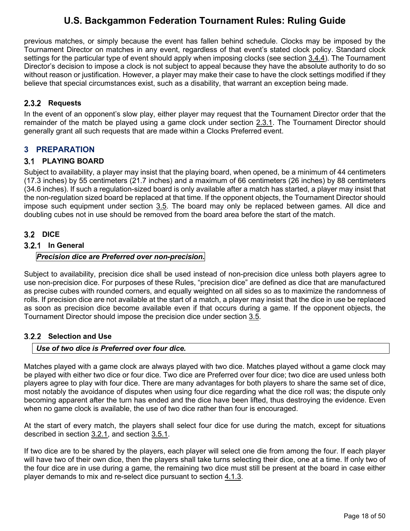previous matches, or simply because the event has fallen behind schedule. Clocks may be imposed by the Tournament Director on matches in any event, regardless of that event's stated clock policy. Standard clock settings for the particular type of event should apply when imposing clocks (see section [3.4.4\)](#page-21-1). The Tournament Director's decision to impose a clock is not subject to appeal because they have the absolute authority to do so without reason or justification. However, a player may make their case to have the clock settings modified if they believe that special circumstances exist, such as a disability, that warrant an exception being made.

## <span id="page-18-0"></span>2.3.2 Requests

In the event of an opponent's slow play, either player may request that the Tournament Director order that the remainder of the match be played using a game clock under section [2.3.1.](#page-17-2) The Tournament Director should generally grant all such requests that are made within a Clocks Preferred event.

## <span id="page-18-1"></span>**3 PREPARATION**

## <span id="page-18-2"></span>**PLAYING BOARD**

Subject to availability, a player may insist that the playing board, when opened, be a minimum of 44 centimeters (17.3 inches) by 55 centimeters (21.7 inches) and a maximum of 66 centimeters (26 inches) by 88 centimeters (34.6 inches). If such a regulation-sized board is only available after a match has started, a player may insist that the non-regulation sized board be replaced at that time. If the opponent objects, the Tournament Director should impose such equipment under section [3.5.](#page-23-0) The board may only be replaced between games. All dice and doubling cubes not in use should be removed from the board area before the start of the match.

## <span id="page-18-3"></span>**3.2 DICE**

## <span id="page-18-4"></span>**In General**

### *Precision dice are Preferred over non-precision.*

Subject to availability, precision dice shall be used instead of non-precision dice unless both players agree to use non-precision dice. For purposes of these Rules, "precision dice" are defined as dice that are manufactured as precise cubes with rounded corners, and equally weighted on all sides so as to maximize the randomness of rolls. If precision dice are not available at the start of a match, a player may insist that the dice in use be replaced as soon as precision dice become available even if that occurs during a game. If the opponent objects, the Tournament Director should impose the precision dice under section [3.5.](#page-23-0)

## <span id="page-18-5"></span>**Selection and Use**

#### *Use of two dice is Preferred over four dice.*

Matches played with a game clock are always played with two dice. Matches played without a game clock may be played with either two dice or four dice. Two dice are Preferred over four dice; two dice are used unless both players agree to play with four dice. There are many advantages for both players to share the same set of dice, most notably the avoidance of disputes when using four dice regarding what the dice roll was; the dispute only becoming apparent after the turn has ended and the dice have been lifted, thus destroying the evidence. Even when no game clock is available, the use of two dice rather than four is encouraged.

At the start of every match, the players shall select four dice for use during the match, except for situations described in section [3.2.1,](#page-18-4) and section [3.5.1.](#page-23-1)

If two dice are to be shared by the players, each player will select one die from among the four. If each player will have two of their own dice, then the players shall take turns selecting their dice, one at a time. If only two of the four dice are in use during a game, the remaining two dice must still be present at the board in case either player demands to mix and re-select dice pursuant to section [4.1.3.](#page-23-7)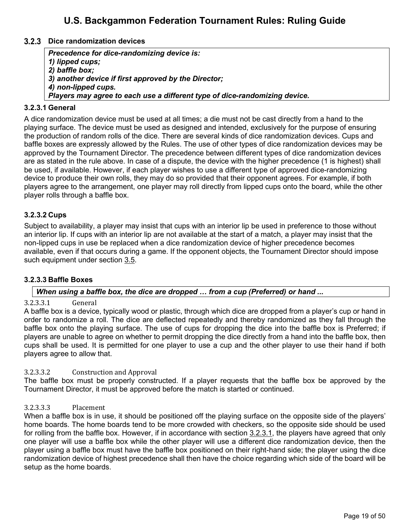#### <span id="page-19-0"></span>**Dice randomization devices**

*Precedence for dice-randomizing device is: 1) lipped cups; 2) baffle box; 3) another device if first approved by the Director; 4) non-lipped cups. Players may agree to each use a different type of dice-randomizing device.*

#### <span id="page-19-1"></span>**3.2.3.1 General**

A dice randomization device must be used at all times; a die must not be cast directly from a hand to the playing surface. The device must be used as designed and intended, exclusively for the purpose of ensuring the production of random rolls of the dice. There are several kinds of dice randomization devices. Cups and baffle boxes are expressly allowed by the Rules. The use of other types of dice randomization devices may be approved by the Tournament Director. The precedence between different types of dice randomization devices are as stated in the rule above. In case of a dispute, the device with the higher precedence (1 is highest) shall be used, if available. However, if each player wishes to use a different type of approved dice-randomizing device to produce their own rolls, they may do so provided that their opponent agrees. For example, if both players agree to the arrangement, one player may roll directly from lipped cups onto the board, while the other player rolls through a baffle box.

#### <span id="page-19-2"></span>**3.2.3.2 Cups**

Subject to availability, a player may insist that cups with an interior lip be used in preference to those without an interior lip. If cups with an interior lip are not available at the start of a match, a player may insist that the non-lipped cups in use be replaced when a dice randomization device of higher precedence becomes available, even if that occurs during a game. If the opponent objects, the Tournament Director should impose such equipment under section [3.5.](#page-23-0)

#### <span id="page-19-3"></span>**3.2.3.3 Baffle Boxes**

#### *When using a baffle box, the dice are dropped … from a cup (Preferred) or hand ...*

#### 3.2.3.3.1 General

A baffle box is a device, typically wood or plastic, through which [dice](http://www.bkgm.com/glossary.html#dice) are dropped from a player's cup or hand in order to randomize a roll. The dice are deflected repeatedly and thereby randomized as they fall through the baffle box onto the playing surface. The use of cups for dropping the dice into the baffle box is Preferred; if players are unable to agree on whether to permit dropping the dice directly from a hand into the baffle box, then cups shall be used. It is permitted for one player to use a cup and the other player to use their hand if both players agree to allow that.

#### 3.2.3.3.2 Construction and Approval

The baffle box must be properly constructed. If a player requests that the baffle box be approved by the Tournament Director, it must be approved before the match is started or continued.

#### 3.2.3.3.3 Placement

When a baffle box is in use, it should be positioned off the playing surface on the opposite side of the players' home boards. The home boards tend to be more crowded with checkers, so the opposite side should be used for rolling from the baffle box. However, if in accordance with section [3.2.3.1,](#page-19-1) the players have agreed that only one player will use a baffle box while the other player will use a different dice randomization device, then the player using a baffle box must have the baffle box positioned on their right-hand side; the player using the dice randomization device of highest precedence shall then have the choice regarding which side of the board will be setup as the home boards.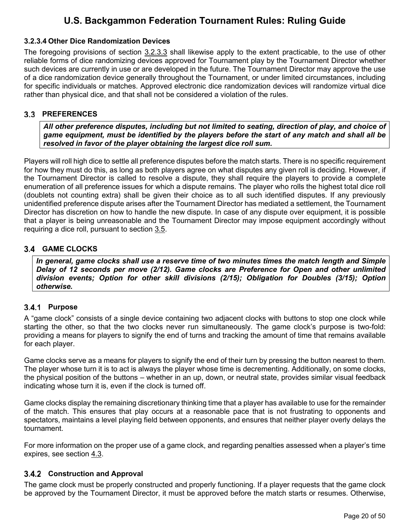### <span id="page-20-0"></span>**3.2.3.4 Other Dice Randomization Devices**

The foregoing provisions of section [3.2.3.3](#page-19-3) shall likewise apply to the extent practicable, to the use of other reliable forms of dice randomizing devices approved for Tournament play by the Tournament Director whether such devices are currently in use or are developed in the future. The Tournament Director may approve the use of a dice randomization device generally throughout the Tournament, or under limited circumstances, including for specific individuals or matches. Approved electronic dice randomization devices will randomize virtual dice rather than physical dice, and that shall not be considered a violation of the rules.

### <span id="page-20-1"></span>**PREFERENCES**

*All other preference disputes, including but not limited to seating, direction of play, and choice of game equipment, must be identified by the players before the start of any match and shall all be resolved in favor of the player obtaining the largest dice roll sum.* 

Players will roll high dice to settle all preference disputes before the match starts. There is no specific requirement for how they must do this, as long as both players agree on what disputes any given roll is deciding. However, if the Tournament Director is called to resolve a dispute, they shall require the players to provide a complete enumeration of all preference issues for which a dispute remains. The player who rolls the highest total dice roll (doublets not counting extra) shall be given their choice as to all such identified disputes. If any previously unidentified preference dispute arises after the Tournament Director has mediated a settlement, the Tournament Director has discretion on how to handle the new dispute. In case of any dispute over equipment, it is possible that a player is being unreasonable and the Tournament Director may impose equipment accordingly without requiring a dice roll, pursuant to section [3.5.](#page-23-0)

### <span id="page-20-2"></span>**GAME CLOCKS**

*In general, game clocks shall use a reserve time of two minutes times the match length and Simple Delay of 12 seconds per move (2/12). Game clocks are Preference for Open and other unlimited division events; Option for other skill divisions (2/15); Obligation for Doubles (3/15); Option otherwise.*

## <span id="page-20-3"></span>3.4.1 Purpose

A "game clock" consists of a single device containing two adjacent [clocks](https://en.wikipedia.org/wiki/Clock) with buttons to stop one clock while starting the other, so that the two clocks never run simultaneously. The game clock's purpose is two-fold: providing a means for players to signify the end of turns and tracking the amount of time that remains available for each player.

Game clocks serve as a means for players to signify the end of their turn by pressing the button nearest to them. The player whose turn it is to act is always the player whose time is decrementing. Additionally, on some clocks, the physical position of the buttons – whether in an up, down, or neutral state, provides similar visual feedback indicating whose turn it is, even if the clock is turned off.

Game clocks display the remaining discretionary thinking time that a player has available to use for the remainder of the match. This ensures that play occurs at a reasonable pace that is not frustrating to opponents and spectators, maintains a level playing field between opponents, and ensures that neither player overly delays the tournament.

For more information on the proper use of a game clock, and regarding penalties assessed when a player's time expires, see section [4.3.](#page-36-0)

#### <span id="page-20-4"></span>**Construction and Approval**

The game clock must be properly constructed and properly functioning. If a player requests that the game clock be approved by the Tournament Director, it must be approved before the match starts or resumes. Otherwise,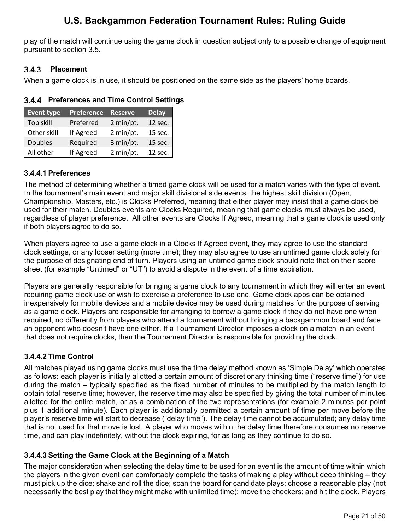play of the match will continue using the game clock in question subject only to a possible change of equipment pursuant to section [3.5.](#page-23-0)

## <span id="page-21-0"></span> **Placement**

When a game clock is in use, it should be positioned on the same side as the players' home boards.

<span id="page-21-1"></span>

|  | 3.4.4 Preferences and Time Control Settings |  |  |  |  |
|--|---------------------------------------------|--|--|--|--|
|--|---------------------------------------------|--|--|--|--|

| <b>Event type</b> | <b>Preference</b> | <b>Reserve</b> | <b>Delay</b> |
|-------------------|-------------------|----------------|--------------|
| Top skill         | Preferred         | 2 min/pt.      | 12 sec.      |
| Other skill       | If Agreed         | 2 min/pt.      | 15 sec.      |
| <b>Doubles</b>    | Required          | 3 min/pt.      | 15 sec.      |
| All other         | If Agreed         | 2 min/pt.      | 12 sec.      |

## <span id="page-21-2"></span>**3.4.4.1 Preferences**

The method of determining whether a timed game clock will be used for a match varies with the type of event. In the tournament's main event and major skill divisional side events, the highest skill division (Open, Championship, Masters, etc.) is Clocks Preferred, meaning that either player may insist that a game clock be used for their match. Doubles events are Clocks Required, meaning that game clocks must always be used, regardless of player preference. All other events are Clocks If Agreed, meaning that a game clock is used only if both players agree to do so.

When players agree to use a game clock in a Clocks If Agreed event, they may agree to use the standard clock settings, or any looser setting (more time); they may also agree to use an untimed game clock solely for the purpose of designating end of turn. Players using an untimed game clock should note that on their score sheet (for example "Untimed" or "UT") to avoid a dispute in the event of a time expiration.

Players are generally responsible for bringing a game clock to any tournament in which they will enter an event requiring game clock use or wish to exercise a preference to use one. Game clock apps can be obtained inexpensively for mobile devices and a mobile device may be used during matches for the purpose of serving as a game clock. Players are responsible for arranging to borrow a game clock if they do not have one when required, no differently from players who attend a tournament without bringing a backgammon board and face an opponent who doesn't have one either. If a Tournament Director imposes a clock on a match in an event that does not require clocks, then the Tournament Director is responsible for providing the clock.

## <span id="page-21-3"></span>**3.4.4.2 Time Control**

All matches played using game clocks must use the time delay method known as 'Simple Delay' which operates as follows: each player is initially allotted a certain amount of discretionary thinking time ("reserve time") for use during the match – typically specified as the fixed number of minutes to be multiplied by the match length to obtain total reserve time; however, the reserve time may also be specified by giving the total number of minutes allotted for the entire match, or as a combination of the two representations (for example 2 minutes per point plus 1 additional minute). Each player is additionally permitted a certain amount of time per move before the player's reserve time will start to decrease ("delay time"). The delay time cannot be accumulated; any delay time that is not used for that move is lost. A player who moves within the delay time therefore consumes no reserve time, and can play indefinitely, without the clock expiring, for as long as they continue to do so.

## <span id="page-21-4"></span>**3.4.4.3 Setting the Game Clock at the Beginning of a Match**

The major consideration when selecting the delay time to be used for an event is the amount of time within which the players in the given event can comfortably complete the tasks of making a play without deep thinking – they must pick up the dice; shake and roll the dice; scan the board for candidate plays; choose a reasonable play (not necessarily the best play that they might make with unlimited time); move the checkers; and hit the clock. Players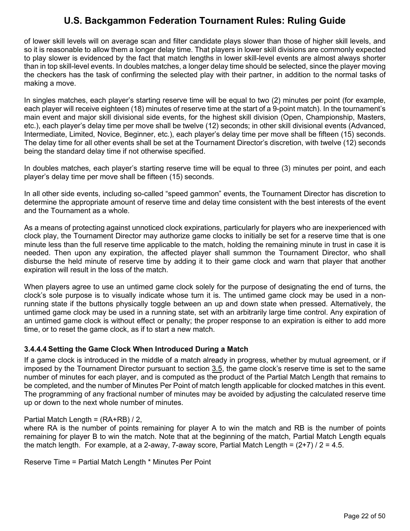of lower skill levels will on average scan and filter candidate plays slower than those of higher skill levels, and so it is reasonable to allow them a longer delay time. That players in lower skill divisions are commonly expected to play slower is evidenced by the fact that match lengths in lower skill-level events are almost always shorter than in top skill-level events. In doubles matches, a longer delay time should be selected, since the player moving the checkers has the task of confirming the selected play with their partner, in addition to the normal tasks of making a move.

In singles matches, each player's starting reserve time will be equal to two (2) minutes per point (for example, each player will receive eighteen (18) minutes of reserve time at the start of a 9-point match). In the tournament's main event and major skill divisional side events, for the highest skill division (Open, Championship, Masters, etc.), each player's delay time per move shall be twelve (12) seconds; in other skill divisional events (Advanced, Intermediate, Limited, Novice, Beginner, etc.), each player's delay time per move shall be fifteen (15) seconds. The delay time for all other events shall be set at the Tournament Director's discretion, with twelve (12) seconds being the standard delay time if not otherwise specified.

In doubles matches, each player's starting reserve time will be equal to three (3) minutes per point, and each player's delay time per move shall be fifteen (15) seconds.

In all other side events, including so-called "speed gammon" events, the Tournament Director has discretion to determine the appropriate amount of reserve time and delay time consistent with the best interests of the event and the Tournament as a whole.

As a means of protecting against unnoticed clock expirations, particularly for players who are inexperienced with clock play, the Tournament Director may authorize game clocks to initially be set for a reserve time that is one minute less than the full reserve time applicable to the match, holding the remaining minute in trust in case it is needed. Then upon any expiration, the affected player shall summon the Tournament Director, who shall disburse the held minute of reserve time by adding it to their game clock and warn that player that another expiration will result in the loss of the match.

When players agree to use an untimed game clock solely for the purpose of designating the end of turns, the clock's sole purpose is to visually indicate whose turn it is. The untimed game clock may be used in a nonrunning state if the buttons physically toggle between an up and down state when pressed. Alternatively, the untimed game clock may be used in a running state, set with an arbitrarily large time control. Any expiration of an untimed game clock is without effect or penalty; the proper response to an expiration is either to add more time, or to reset the game clock, as if to start a new match.

#### <span id="page-22-0"></span>**3.4.4.4 Setting the Game Clock When Introduced During a Match**

If a game clock is introduced in the middle of a match already in progress, whether by mutual agreement, or if imposed by the Tournament Director pursuant to section [3.5,](#page-23-0) the game clock's reserve time is set to the same number of minutes for each player, and is computed as the product of the Partial Match Length that remains to be completed, and the number of Minutes Per Point of match length applicable for clocked matches in this event. The programming of any fractional number of minutes may be avoided by adjusting the calculated reserve time up or down to the next whole number of minutes.

#### Partial Match Length =  $(RA+RB)/2$ ,

where RA is the number of points remaining for player A to win the match and RB is the number of points remaining for player B to win the match. Note that at the beginning of the match, Partial Match Length equals the match length. For example, at a 2-away, 7-away score, Partial Match Length =  $(2+7)/2 = 4.5$ .

Reserve Time = Partial Match Length \* Minutes Per Point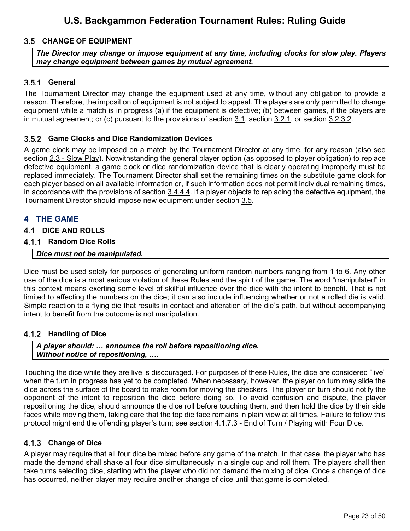## <span id="page-23-0"></span>**CHANGE OF EQUIPMENT**

*The Director may change or impose equipment at any time, including clocks for slow play. Players may change equipment between games by mutual agreement.*

### <span id="page-23-1"></span>**General**

The Tournament Director may change the equipment used at any time, without any obligation to provide a reason. Therefore, the imposition of equipment is not subject to appeal. The players are only permitted to change equipment while a match is in progress (a) if the equipment is defective; (b) between games, if the players are in mutual agreement; or (c) pursuant to the provisions of section [3.1,](#page-18-2) section [3.2.1,](#page-18-4) or section [3.2.3.2.](#page-19-2)

#### <span id="page-23-2"></span>**Game Clocks and Dice Randomization Devices**

A game clock may be imposed on a match by the Tournament Director at any time, for any reason (also see section [2.3](#page-17-1) - [Slow Play\)](#page-17-1). Notwithstanding the general player option (as opposed to player obligation) to replace defective equipment, a game clock or dice randomization device that is clearly operating improperly must be replaced immediately. The Tournament Director shall set the remaining times on the substitute game clock for each player based on all available information or, if such information does not permit individual remaining times, in accordance with the provisions of section [3.4.4.4.](#page-22-0) If a player objects to replacing the defective equipment, the Tournament Director should impose new equipment under section [3.5.](#page-23-0)

### <span id="page-23-3"></span>**4 THE GAME**

#### <span id="page-23-4"></span>**4.1 DICE AND ROLLS**

#### <span id="page-23-5"></span>**Random Dice Rolls**

#### *Dice must not be manipulated.*

Dice must be used solely for purposes of generating uniform random numbers ranging from 1 to 6. Any other use of the dice is a most serious violation of these Rules and the spirit of the game. The word "manipulated" in this context means exerting some level of skillful influence over the dice with the intent to benefit. That is not limited to affecting the numbers on the dice; it can also include influencing whether or not a rolled die is valid. Simple reaction to a flying die that results in contact and alteration of the die's path, but without accompanying intent to benefit from the outcome is not manipulation.

#### <span id="page-23-6"></span>**Handling of Dice**

*A player should: … announce the roll before repositioning dice. Without notice of repositioning, ….* 

Touching the dice while they are live is discouraged. For purposes of these Rules, the dice are considered "live" when the turn in progress has yet to be completed. When necessary, however, the player on turn may slide the dice across the surface of the board to make room for moving the checkers. The player on turn should notify the opponent of the intent to reposition the dice before doing so. To avoid confusion and dispute, the player repositioning the dice, should announce the dice roll before touching them, and then hold the dice by their side faces while moving them, taking care that the top die face remains in plain view at all times. Failure to follow this protocol might end the offending player's turn; see section [4.1.7.3](#page-27-0) - [End of Turn](#page-26-0) / [Playing with Four Dice.](#page-27-0)

#### <span id="page-23-7"></span>**Change of Dice**

A player may require that all four dice be mixed before any game of the match. In that case, the player who has made the demand shall shake all four dice simultaneously in a single cup and roll them. The players shall then take turns selecting dice, starting with the player who did not demand the mixing of dice. Once a change of dice has occurred, neither player may require another change of dice until that game is completed.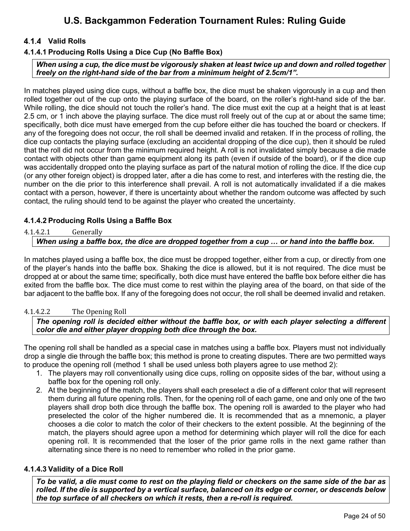## <span id="page-24-0"></span>**Valid Rolls**

### <span id="page-24-1"></span>**4.1.4.1 Producing Rolls Using a Dice Cup (No Baffle Box)**

*When using a cup, the dice must be vigorously shaken at least twice up and down and rolled together freely on the right-hand side of the bar from a minimum height of 2.5cm/1".* 

In matches played using dice cups, without a baffle box, the dice must be shaken vigorously in a cup and then rolled together out of the cup onto the playing surface of the board, on the roller's right-hand side of the bar. While rolling, the dice should not touch the roller's hand. The dice must exit the cup at a height that is at least 2.5 cm, or 1 inch above the playing surface. The dice must roll freely out of the cup at or about the same time; specifically, both dice must have emerged from the cup before either die has touched the board or checkers. If any of the foregoing does not occur, the roll shall be deemed invalid and retaken. If in the process of rolling, the dice cup contacts the playing surface (excluding an accidental dropping of the dice cup), then it should be ruled that the roll did not occur from the minimum required height. A roll is not invalidated simply because a die made contact with objects other than game equipment along its path (even if outside of the board), or if the dice cup was accidentally dropped onto the playing surface as part of the natural motion of rolling the dice. If the dice cup (or any other foreign object) is dropped later, after a die has come to rest, and interferes with the resting die, the number on the die prior to this interference shall prevail. A roll is not automatically invalidated if a die makes contact with a person, however, if there is uncertainty about whether the random outcome was affected by such contact, the ruling should tend to be against the player who created the uncertainty.

#### <span id="page-24-2"></span>**4.1.4.2 Producing Rolls Using a Baffle Box**

4.1.4.2.1 Generally

#### *When using a baffle box, the dice are dropped together from a cup … or hand into the baffle box.*

In matches played using a baffle box, the dice must be dropped together, either from a cup, or directly from one of the player's hands into the baffle box. Shaking the dice is allowed, but it is not required. The dice must be dropped at or about the same time; specifically, both dice must have entered the baffle box before either die has exited from the baffle box. The dice must come to rest within the playing area of the board, on that side of the bar adjacent to the baffle box. If any of the foregoing does not occur, the roll shall be deemed invalid and retaken.

#### 4.1.4.2.2 The Opening Roll

*The opening roll is decided either without the baffle box, or with each player selecting a different color die and either player dropping both dice through the box.*

The opening roll shall be handled as a special case in matches using a baffle box. Players must not individually drop a single die through the baffle box; this method is prone to creating disputes. There are two permitted ways to produce the opening roll (method 1 shall be used unless both players agree to use method 2):

- 1. The players may roll conventionally using dice cups, rolling on opposite sides of the bar, without using a baffle box for the opening roll only.
- 2. At the beginning of the match, the players shall each preselect a die of a different color that will represent them during all future opening rolls. Then, for the opening roll of each game, one and only one of the two players shall drop both dice through the baffle box. The opening roll is awarded to the player who had preselected the color of the higher numbered die. It is recommended that as a mnemonic, a player chooses a die color to match the color of their checkers to the extent possible. At the beginning of the match, the players should agree upon a method for determining which player will roll the dice for each opening roll. It is recommended that the loser of the prior game rolls in the next game rather than alternating since there is no need to remember who rolled in the prior game.

#### <span id="page-24-3"></span>**4.1.4.3 Validity of a Dice Roll**

*To be valid, a die must come to rest on the playing field or checkers on the same side of the bar as rolled. If the die is supported by a vertical surface, balanced on its edge or corner, or descends below the top surface of all checkers on which it rests, then a re-roll is required.*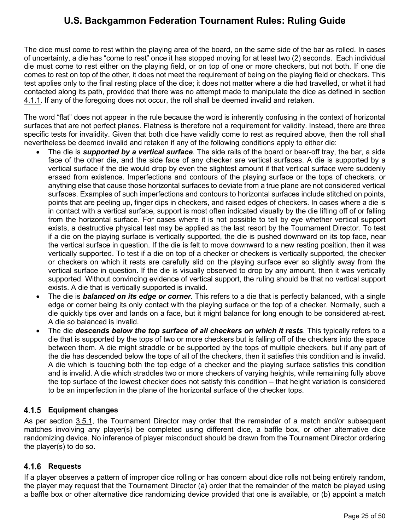The dice must come to rest within the playing area of the board, on the same side of the bar as rolled. In cases of uncertainty, a die has "come to rest" once it has stopped moving for at least two (2) seconds. Each individual die must come to rest either on the playing field, or on top of one or more checkers, but not both. If one die comes to rest on top of the other, it does not meet the requirement of being on the playing field or checkers. This test applies only to the final resting place of the dice; it does not matter where a die had travelled, or what it had contacted along its path, provided that there was no attempt made to manipulate the dice as defined in section [4.1.1.](#page-23-5) If any of the foregoing does not occur, the roll shall be deemed invalid and retaken.

The word "flat" does not appear in the rule because the word is inherently confusing in the context of horizontal surfaces that are not perfect planes. Flatness is therefore not a requirement for validity. Instead, there are three specific tests for invalidity. Given that both dice have validly come to rest as required above, then the roll shall nevertheless be deemed invalid and retaken if any of the following conditions apply to either die:

- The die is *supported by a vertical surface*. The side rails of the board or bear-off tray, the bar, a side face of the other die, and the side face of any checker are vertical surfaces. A die is supported by a vertical surface if the die would drop by even the slightest amount if that vertical surface were suddenly erased from existence. Imperfections and contours of the playing surface or the tops of checkers, or anything else that cause those horizontal surfaces to deviate from a true plane are not considered vertical surfaces. Examples of such imperfections and contours to horizontal surfaces include stitched on points, points that are peeling up, finger dips in checkers, and raised edges of checkers. In cases where a die is in contact with a vertical surface, support is most often indicated visually by the die lifting off of or falling from the horizontal surface. For cases where it is not possible to tell by eye whether vertical support exists, a destructive physical test may be applied as the last resort by the Tournament Director. To test if a die on the playing surface is vertically supported, the die is pushed downward on its top face, near the vertical surface in question. If the die is felt to move downward to a new resting position, then it was vertically supported. To test if a die on top of a checker or checkers is vertically supported, the checker or checkers on which it rests are carefully slid on the playing surface ever so slightly away from the vertical surface in question. If the die is visually observed to drop by any amount, then it was vertically supported. Without convincing evidence of vertical support, the ruling should be that no vertical support exists. A die that is vertically supported is invalid.
- The die is *balanced on its edge or corner*. This refers to a die that is perfectly balanced, with a single edge or corner being its only contact with the playing surface or the top of a checker. Normally, such a die quickly tips over and lands on a face, but it might balance for long enough to be considered at-rest. A die so balanced is invalid.
- The die *descends below the top surface of all checkers on which it rests*. This typically refers to a die that is supported by the tops of two or more checkers but is falling off of the checkers into the space between them. A die might straddle or be supported by the tops of multiple checkers, but if any part of the die has descended below the tops of all of the checkers, then it satisfies this condition and is invalid. A die which is touching both the top edge of a checker and the playing surface satisfies this condition and is invalid. A die which straddles two or more checkers of varying heights, while remaining fully above the top surface of the lowest checker does not satisfy this condition – that height variation is considered to be an imperfection in the plane of the horizontal surface of the checker tops.

## <span id="page-25-0"></span>**Equipment changes**

As per section [3.5.1,](#page-23-1) the Tournament Director may order that the remainder of a match and/or subsequent matches involving any player(s) be completed using different dice, a baffle box, or other alternative dice randomizing device. No inference of player misconduct should be drawn from the Tournament Director ordering the player(s) to do so.

## <span id="page-25-1"></span>**Requests**

If a player observes a pattern of improper dice rolling or has concern about dice rolls not being entirely random, the player may request that the Tournament Director (a) order that the remainder of the match be played using a baffle box or other alternative dice randomizing device provided that one is available, or (b) appoint a match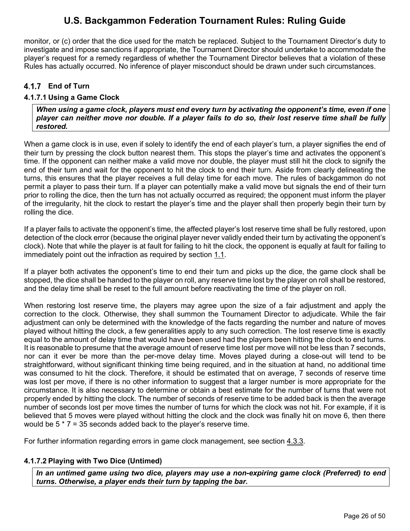monitor, or (c) order that the dice used for the match be replaced. Subject to the Tournament Director's duty to investigate and impose sanctions if appropriate, the Tournament Director should undertake to accommodate the player's request for a remedy regardless of whether the Tournament Director believes that a violation of these Rules has actually occurred. No inference of player misconduct should be drawn under such circumstances.

### <span id="page-26-0"></span>**End of Turn**

#### <span id="page-26-1"></span>**4.1.7.1 Using a Game Clock**

*When using a game clock, players must end every turn by activating the opponent's time, even if one player can neither move nor double. If a player fails to do so, their lost reserve time shall be fully restored.* 

When a game clock is in use, even if solely to identify the end of each player's turn, a player signifies the end of their turn by pressing the clock button nearest them. This stops the player's time and activates the opponent's time. If the opponent can neither make a valid move nor double, the player must still hit the clock to signify the end of their turn and wait for the opponent to hit the clock to end their turn. Aside from clearly delineating the turns, this ensures that the player receives a full delay time for each move. The rules of backgammon do not permit a player to pass their turn. If a player can potentially make a valid move but signals the end of their turn prior to rolling the dice, then the turn has not actually occurred as required; the opponent must inform the player of the irregularity, hit the clock to restart the player's time and the player shall then properly begin their turn by rolling the dice.

If a player fails to activate the opponent's time, the affected player's lost reserve time shall be fully restored, upon detection of the clock error (because the original player never validly ended their turn by activating the opponent's clock). Note that while the player is at fault for failing to hit the clock, the opponent is equally at fault for failing to immediately point out the infraction as required by section [1.1.](#page-5-1)

If a player both activates the opponent's time to end their turn and picks up the dice, the game clock shall be stopped, the dice shall be handed to the player on roll, any reserve time lost by the player on roll shall be restored, and the delay time shall be reset to the full amount before reactivating the time of the player on roll.

When restoring lost reserve time, the players may agree upon the size of a fair adjustment and apply the correction to the clock. Otherwise, they shall summon the Tournament Director to adjudicate. While the fair adjustment can only be determined with the knowledge of the facts regarding the number and nature of moves played without hitting the clock, a few generalities apply to any such correction. The lost reserve time is exactly equal to the amount of delay time that would have been used had the players been hitting the clock to end turns. It is reasonable to presume that the average amount of reserve time lost per move will not be less than 7 seconds, nor can it ever be more than the per-move delay time. Moves played during a close-out will tend to be straightforward, without significant thinking time being required, and in the situation at hand, no additional time was consumed to hit the clock. Therefore, it should be estimated that on average, 7 seconds of reserve time was lost per move, if there is no other information to suggest that a larger number is more appropriate for the circumstance. It is also necessary to determine or obtain a best estimate for the number of turns that were not properly ended by hitting the clock. The number of seconds of reserve time to be added back is then the average number of seconds lost per move times the number of turns for which the clock was not hit. For example, if it is believed that 5 moves were played without hitting the clock and the clock was finally hit on move 6, then there would be  $5 * 7 = 35$  seconds added back to the player's reserve time.

For further information regarding errors in game clock management, see section [4.3.3.](#page-37-0)

#### <span id="page-26-2"></span>**4.1.7.2 Playing with Two Dice (Untimed)**

*In an untimed game using two dice, players may use a non-expiring game clock (Preferred) to end turns. Otherwise, a player ends their turn by tapping the bar.*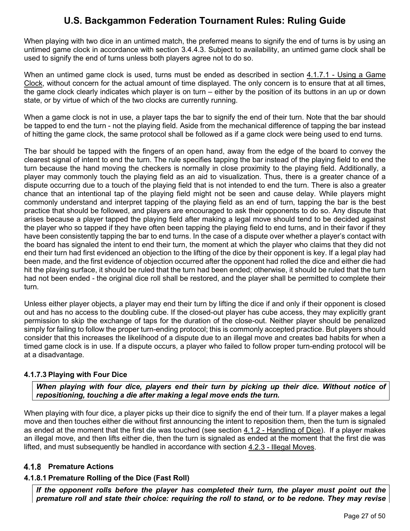When playing with two dice in an untimed match, the preferred means to signify the end of turns is by using an untimed game clock in accordance with section [3.4.4.3.](#page-21-4) Subject to availability, an untimed game clock shall be used to signify the end of turns unless both players agree not to do so.

When an untimed game clock is used, turns must be ended as described in section [4.1.7.1](#page-26-1) - [Using a Game](#page-26-1)  [Clock,](#page-26-1) without concern for the actual amount of time displayed. The only concern is to ensure that at all times, the game clock clearly indicates which player is on turn – either by the position of its buttons in an up or down state, or by virtue of which of the two clocks are currently running.

When a game clock is not in use, a player taps the bar to signify the end of their turn. Note that the bar should be tapped to end the turn - not the playing field. Aside from the mechanical difference of tapping the bar instead of hitting the game clock, the same protocol shall be followed as if a game clock were being used to end turns.

The bar should be tapped with the fingers of an open hand, away from the edge of the board to convey the clearest signal of intent to end the turn. The rule specifies tapping the bar instead of the playing field to end the turn because the hand moving the checkers is normally in close proximity to the playing field. Additionally, a player may commonly touch the playing field as an aid to visualization. Thus, there is a greater chance of a dispute occurring due to a touch of the playing field that is not intended to end the turn. There is also a greater chance that an intentional tap of the playing field might not be seen and cause delay. While players might commonly understand and interpret tapping of the playing field as an end of turn, tapping the bar is the best practice that should be followed, and players are encouraged to ask their opponents to do so. Any dispute that arises because a player tapped the playing field after making a legal move should tend to be decided against the player who so tapped if they have often been tapping the playing field to end turns, and in their favor if they have been consistently tapping the bar to end turns. In the case of a dispute over whether a player's contact with the board has signaled the intent to end their turn, the moment at which the player who claims that they did not end their turn had first evidenced an objection to the lifting of the dice by their opponent is key. If a legal play had been made, and the first evidence of objection occurred after the opponent had rolled the dice and either die had hit the playing surface, it should be ruled that the turn had been ended; otherwise, it should be ruled that the turn had not been ended - the original dice roll shall be restored, and the player shall be permitted to complete their turn.

Unless either player objects, a player may end their turn by lifting the dice if and only if their opponent is closed out and has no access to the doubling cube. If the closed-out player has cube access, they may explicitly grant permission to skip the exchange of taps for the duration of the close-out. Neither player should be penalized simply for failing to follow the proper turn-ending protocol; this is commonly accepted practice. But players should consider that this increases the likelihood of a dispute due to an illegal move and creates bad habits for when a timed game clock is in use. If a dispute occurs, a player who failed to follow proper turn-ending protocol will be at a disadvantage.

## <span id="page-27-0"></span>**4.1.7.3 Playing with Four Dice**

*When playing with four dice, players end their turn by picking up their dice. Without notice of repositioning, touching a die after making a legal move ends the turn.*

When playing with four dice, a player picks up their dice to signify the end of their turn. If a player makes a legal move and then touches either die without first announcing the intent to reposition them, then the turn is signaled as ended at the moment that the first die was touched (see section [4.1.2](#page-23-6) - [Handling of Dice\)](#page-23-6). If a player makes an illegal move, and then lifts either die, then the turn is signaled as ended at the moment that the first die was lifted, and must subsequently be handled in accordance with section [4.2.3](#page-33-0) - [Illegal Moves.](#page-33-0)

## <span id="page-27-1"></span>**Premature Actions**

## <span id="page-27-2"></span>**4.1.8.1 Premature Rolling of the Dice (Fast Roll)**

*If the opponent rolls before the player has completed their turn, the player must point out the premature roll and state their choice: requiring the roll to stand, or to be redone. They may revise*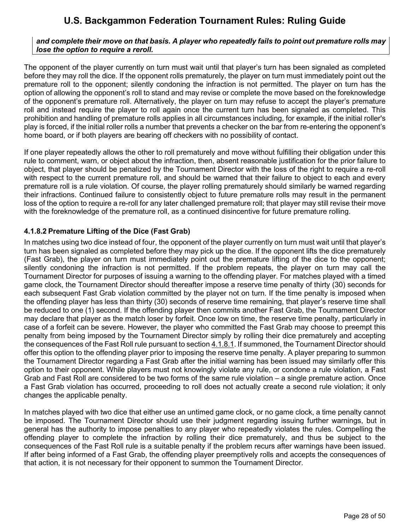#### *and complete their move on that basis. A player who repeatedly fails to point out premature rolls may lose the option to require a reroll.*

The opponent of the player currently on turn must wait until that player's turn has been signaled as completed before they may roll the dice. If the opponent rolls prematurely, the player on turn must immediately point out the premature roll to the opponent; silently condoning the infraction is not permitted. The player on turn has the option of allowing the opponent's roll to stand and may revise or complete the move based on the foreknowledge of the opponent's premature roll. Alternatively, the player on turn may refuse to accept the player's premature roll and instead require the player to roll again once the current turn has been signaled as completed. This prohibition and handling of premature rolls applies in all circumstances including, for example, if the initial roller's play is forced, if the initial roller rolls a number that prevents a checker on the bar from re-entering the opponent's home board, or if both players are bearing off checkers with no possibility of contact.

If one player repeatedly allows the other to roll prematurely and move without fulfilling their obligation under this rule to comment, warn, or object about the infraction, then, absent reasonable justification for the prior failure to object, that player should be penalized by the Tournament Director with the loss of the right to require a re-roll with respect to the current premature roll, and should be warned that their failure to object to each and every premature roll is a rule violation. Of course, the player rolling prematurely should similarly be warned regarding their infractions. Continued failure to consistently object to future premature rolls may result in the permanent loss of the option to require a re-roll for any later challenged premature roll; that player may still revise their move with the foreknowledge of the premature roll, as a continued disincentive for future premature rolling.

### <span id="page-28-0"></span>**4.1.8.2 Premature Lifting of the Dice (Fast Grab)**

In matches using two dice instead of four, the opponent of the player currently on turn must wait until that player's turn has been signaled as completed before they may pick up the dice. If the opponent lifts the dice prematurely (Fast Grab), the player on turn must immediately point out the premature lifting of the dice to the opponent; silently condoning the infraction is not permitted. If the problem repeats, the player on turn may call the Tournament Director for purposes of issuing a warning to the offending player. For matches played with a timed game clock, the Tournament Director should thereafter impose a reserve time penalty of thirty (30) seconds for each subsequent Fast Grab violation committed by the player not on turn. If the time penalty is imposed when the offending player has less than thirty (30) seconds of reserve time remaining, that player's reserve time shall be reduced to one (1) second. If the offending player then commits another Fast Grab, the Tournament Director may declare that player as the match loser by forfeit. Once low on time, the reserve time penalty, particularly in case of a forfeit can be severe. However, the player who committed the Fast Grab may choose to preempt this penalty from being imposed by the Tournament Director simply by rolling their dice prematurely and accepting the consequences of the Fast Roll rule pursuant to section [4.1.8.1.](#page-27-2) If summoned, the Tournament Director should offer this option to the offending player prior to imposing the reserve time penalty. A player preparing to summon the Tournament Director regarding a Fast Grab after the initial warning has been issued may similarly offer this option to their opponent. While players must not knowingly violate any rule, or condone a rule violation, a Fast Grab and Fast Roll are considered to be two forms of the same rule violation – a single premature action. Once a Fast Grab violation has occurred, proceeding to roll does not actually create a second rule violation; it only changes the applicable penalty.

In matches played with two dice that either use an untimed game clock, or no game clock, a time penalty cannot be imposed. The Tournament Director should use their judgment regarding issuing further warnings, but in general has the authority to impose penalties to any player who repeatedly violates the rules. Compelling the offending player to complete the infraction by rolling their dice prematurely, and thus be subject to the consequences of the Fast Roll rule is a suitable penalty if the problem recurs after warnings have been issued. If after being informed of a Fast Grab, the offending player preemptively rolls and accepts the consequences of that action, it is not necessary for their opponent to summon the Tournament Director.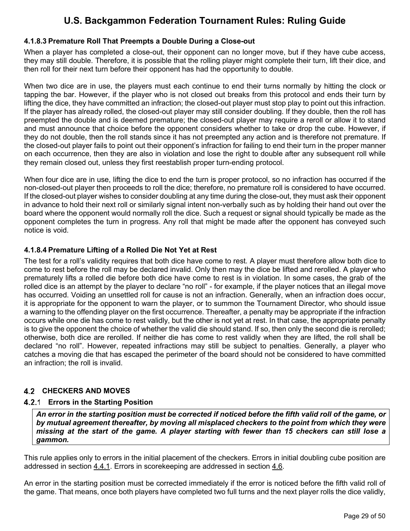## <span id="page-29-0"></span>**4.1.8.3 Premature Roll That Preempts a Double During a Close-out**

When a player has completed a close-out, their opponent can no longer move, but if they have cube access, they may still double. Therefore, it is possible that the rolling player might complete their turn, lift their dice, and then roll for their next turn before their opponent has had the opportunity to double.

When two dice are in use, the players must each continue to end their turns normally by hitting the clock or tapping the bar. However, if the player who is not closed out breaks from this protocol and ends their turn by lifting the dice, they have committed an infraction; the closed-out player must stop play to point out this infraction. If the player has already rolled, the closed-out player may still consider doubling. If they double, then the roll has preempted the double and is deemed premature; the closed-out player may require a reroll or allow it to stand and must announce that choice before the opponent considers whether to take or drop the cube. However, if they do not double, then the roll stands since it has not preempted any action and is therefore not premature. If the closed-out player fails to point out their opponent's infraction for failing to end their turn in the proper manner on each occurrence, then they are also in violation and lose the right to double after any subsequent roll while they remain closed out, unless they first reestablish proper turn-ending protocol.

When four dice are in use, lifting the dice to end the turn is proper protocol, so no infraction has occurred if the non-closed-out player then proceeds to roll the dice; therefore, no premature roll is considered to have occurred. If the closed-out player wishes to consider doubling at any time during the close-out, they must ask their opponent in advance to hold their next roll or similarly signal intent non-verbally such as by holding their hand out over the board where the opponent would normally roll the dice. Such a request or signal should typically be made as the opponent completes the turn in progress. Any roll that might be made after the opponent has conveyed such notice is void.

### <span id="page-29-1"></span>**4.1.8.4 Premature Lifting of a Rolled Die Not Yet at Rest**

The test for a roll's validity requires that both dice have come to rest. A player must therefore allow both dice to come to rest before the roll may be declared invalid. Only then may the dice be lifted and rerolled. A player who prematurely lifts a rolled die before both dice have come to rest is in violation. In some cases, the grab of the rolled dice is an attempt by the player to declare "no roll" - for example, if the player notices that an illegal move has occurred. Voiding an unsettled roll for cause is not an infraction. Generally, when an infraction does occur, it is appropriate for the opponent to warn the player, or to summon the Tournament Director, who should issue a warning to the offending player on the first occurrence. Thereafter, a penalty may be appropriate if the infraction occurs while one die has come to rest validly, but the other is not yet at rest. In that case, the appropriate penalty is to give the opponent the choice of whether the valid die should stand. If so, then only the second die is rerolled; otherwise, both dice are rerolled. If neither die has come to rest validly when they are lifted, the roll shall be declared "no roll". However, repeated infractions may still be subject to penalties. Generally, a player who catches a moving die that has escaped the perimeter of the board should not be considered to have committed an infraction; the roll is invalid.

## <span id="page-29-2"></span>**CHECKERS AND MOVES**

## <span id="page-29-3"></span>**Errors in the Starting Position**

*An error in the starting position must be corrected if noticed before the fifth valid roll of the game, or by mutual agreement thereafter, by moving all misplaced checkers to the point from which they were missing at the start of the game. A player starting with fewer than 15 checkers can still lose a gammon.*

This rule applies only to errors in the initial placement of the checkers. Errors in initial doubling cube position are addressed in section [4.4.1.](#page-38-1) Errors in scorekeeping are addressed in section [4.6.](#page-44-0)

An error in the starting position must be corrected immediately if the error is noticed before the fifth valid roll of the game. That means, once both players have completed two full turns and the next player rolls the dice validly,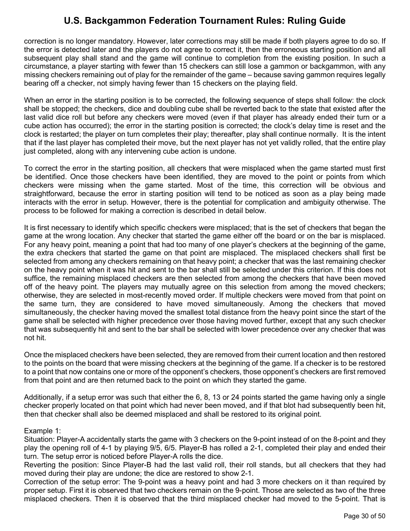correction is no longer mandatory. However, later corrections may still be made if both players agree to do so. If the error is detected later and the players do not agree to correct it, then the erroneous starting position and all subsequent play shall stand and the game will continue to completion from the existing position. In such a circumstance, a player starting with fewer than 15 checkers can still lose a gammon or backgammon, with any missing checkers remaining out of play for the remainder of the game – because saving gammon requires legally bearing off a checker, not simply having fewer than 15 checkers on the playing field.

When an error in the starting position is to be corrected, the following sequence of steps shall follow: the clock shall be stopped; the checkers, dice and doubling cube shall be reverted back to the state that existed after the last valid dice roll but before any checkers were moved (even if that player has already ended their turn or a cube action has occurred); the error in the starting position is corrected; the clock's delay time is reset and the clock is restarted; the player on turn completes their play; thereafter, play shall continue normally. It is the intent that if the last player has completed their move, but the next player has not yet validly rolled, that the entire play just completed, along with any intervening cube action is undone.

To correct the error in the starting position, all checkers that were misplaced when the game started must first be identified. Once those checkers have been identified, they are moved to the point or points from which checkers were missing when the game started. Most of the time, this correction will be obvious and straightforward, because the error in starting position will tend to be noticed as soon as a play being made interacts with the error in setup. However, there is the potential for complication and ambiguity otherwise. The process to be followed for making a correction is described in detail below.

It is first necessary to identify which specific checkers were misplaced; that is the set of checkers that began the game at the wrong location. Any checker that started the game either off the board or on the bar is misplaced. For any heavy point, meaning a point that had too many of one player's checkers at the beginning of the game, the extra checkers that started the game on that point are misplaced. The misplaced checkers shall first be selected from among any checkers remaining on that heavy point; a checker that was the last remaining checker on the heavy point when it was hit and sent to the bar shall still be selected under this criterion. If this does not suffice, the remaining misplaced checkers are then selected from among the checkers that have been moved off of the heavy point. The players may mutually agree on this selection from among the moved checkers; otherwise, they are selected in most-recently moved order. If multiple checkers were moved from that point on the same turn, they are considered to have moved simultaneously. Among the checkers that moved simultaneously, the checker having moved the smallest total distance from the heavy point since the start of the game shall be selected with higher precedence over those having moved further, except that any such checker that was subsequently hit and sent to the bar shall be selected with lower precedence over any checker that was not hit.

Once the misplaced checkers have been selected, they are removed from their current location and then restored to the points on the board that were missing checkers at the beginning of the game. If a checker is to be restored to a point that now contains one or more of the opponent's checkers, those opponent's checkers are first removed from that point and are then returned back to the point on which they started the game.

Additionally, if a setup error was such that either the 6, 8, 13 or 24 points started the game having only a single checker properly located on that point which had never been moved, and if that blot had subsequently been hit, then that checker shall also be deemed misplaced and shall be restored to its original point.

#### Example 1:

Situation: Player-A accidentally starts the game with 3 checkers on the 9-point instead of on the 8-point and they play the opening roll of 4-1 by playing 9/5, 6/5. Player-B has rolled a 2-1, completed their play and ended their turn. The setup error is noticed before Player-A rolls the dice.

Reverting the position: Since Player-B had the last valid roll, their roll stands, but all checkers that they had moved during their play are undone; the dice are restored to show 2-1.

Correction of the setup error: The 9-point was a heavy point and had 3 more checkers on it than required by proper setup. First it is observed that two checkers remain on the 9-point. Those are selected as two of the three misplaced checkers. Then it is observed that the third misplaced checker had moved to the 5-point. That is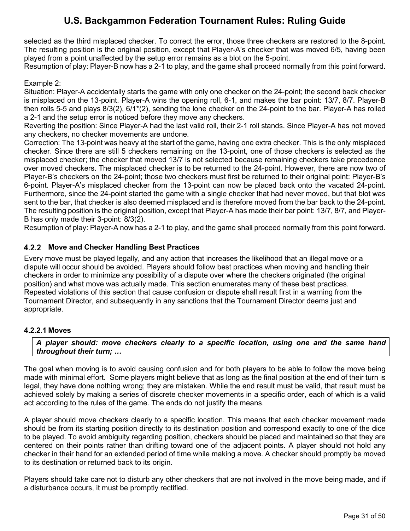selected as the third misplaced checker. To correct the error, those three checkers are restored to the 8-point. The resulting position is the original position, except that Player-A's checker that was moved 6/5, having been played from a point unaffected by the setup error remains as a blot on the 5-point.

Resumption of play: Player-B now has a 2-1 to play, and the game shall proceed normally from this point forward.

#### Example 2:

Situation: Player-A accidentally starts the game with only one checker on the 24-point; the second back checker is misplaced on the 13-point. Player-A wins the opening roll, 6-1, and makes the bar point: 13/7, 8/7. Player-B then rolls 5-5 and plays 8/3(2), 6/1\*(2), sending the lone checker on the 24-point to the bar. Player-A has rolled a 2-1 and the setup error is noticed before they move any checkers.

Reverting the position: Since Player-A had the last valid roll, their 2-1 roll stands. Since Player-A has not moved any checkers, no checker movements are undone.

Correction: The 13-point was heavy at the start of the game, having one extra checker. This is the only misplaced checker. Since there are still 5 checkers remaining on the 13-point, one of those checkers is selected as the misplaced checker; the checker that moved 13/7 is not selected because remaining checkers take precedence over moved checkers. The misplaced checker is to be returned to the 24-point. However, there are now two of Player-B's checkers on the 24-point; those two checkers must first be returned to their original point: Player-B's 6-point. Player-A's misplaced checker from the 13-point can now be placed back onto the vacated 24-point. Furthermore, since the 24-point started the game with a single checker that had never moved, but that blot was sent to the bar, that checker is also deemed misplaced and is therefore moved from the bar back to the 24-point. The resulting position is the original position, except that Player-A has made their bar point: 13/7, 8/7, and Player-B has only made their 3-point: 8/3(2).

Resumption of play: Player-A now has a 2-1 to play, and the game shall proceed normally from this point forward.

### <span id="page-31-0"></span>**Move and Checker Handling Best Practices**

Every move must be played legally, and any action that increases the likelihood that an illegal move or a dispute will occur should be avoided. Players should follow best practices when moving and handling their checkers in order to minimize any possibility of a dispute over where the checkers originated (the original position) and what move was actually made. This section enumerates many of these best practices. Repeated violations of this section that cause confusion or dispute shall result first in a warning from the Tournament Director, and subsequently in any sanctions that the Tournament Director deems just and appropriate.

#### <span id="page-31-1"></span>**4.2.2.1 Moves**

*A player should: move checkers clearly to a specific location, using one and the same hand throughout their turn; …*

The goal when moving is to avoid causing confusion and for both players to be able to follow the move being made with minimal effort. Some players might believe that as long as the final position at the end of their turn is legal, they have done nothing wrong; they are mistaken. While the end result must be valid, that result must be achieved solely by making a series of discrete checker movements in a specific order, each of which is a valid act according to the rules of the game. The ends do not justify the means.

A player should move checkers clearly to a specific location. This means that each checker movement made should be from its starting position directly to its destination position and correspond exactly to one of the dice to be played. To avoid ambiguity regarding position, checkers should be placed and maintained so that they are centered on their points rather than drifting toward one of the adjacent points. A player should not hold any checker in their hand for an extended period of time while making a move. A checker should promptly be moved to its destination or returned back to its origin.

Players should take care not to disturb any other checkers that are not involved in the move being made, and if a disturbance occurs, it must be promptly rectified.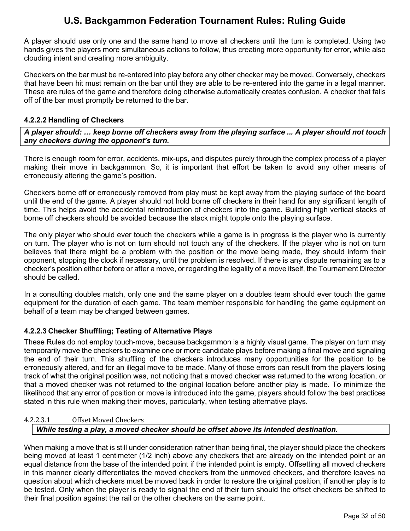A player should use only one and the same hand to move all checkers until the turn is completed. Using two hands gives the players more simultaneous actions to follow, thus creating more opportunity for error, while also clouding intent and creating more ambiguity.

Checkers on the bar must be re-entered into play before any other checker may be moved. Conversely, checkers that have been hit must remain on the bar until they are able to be re-entered into the game in a legal manner. These are rules of the game and therefore doing otherwise automatically creates confusion. A checker that falls off of the bar must promptly be returned to the bar.

#### <span id="page-32-0"></span>**4.2.2.2 Handling of Checkers**

*A player should: … keep borne off checkers away from the playing surface ... A player should not touch any checkers during the opponent's turn.*

There is enough room for error, accidents, mix-ups, and disputes purely through the complex process of a player making their move in backgammon. So, it is important that effort be taken to avoid any other means of erroneously altering the game's position.

Checkers borne off or erroneously removed from play must be kept away from the playing surface of the board until the end of the game. A player should not hold borne off checkers in their hand for any significant length of time. This helps avoid the accidental reintroduction of checkers into the game. Building high vertical stacks of borne off checkers should be avoided because the stack might topple onto the playing surface.

The only player who should ever touch the checkers while a game is in progress is the player who is currently on turn. The player who is not on turn should not touch any of the checkers. If the player who is not on turn believes that there might be a problem with the position or the move being made, they should inform their opponent, stopping the clock if necessary, until the problem is resolved. If there is any dispute remaining as to a checker's position either before or after a move, or regarding the legality of a move itself, the Tournament Director should be called.

In a consulting doubles match, only one and the same player on a doubles team should ever touch the game equipment for the duration of each game. The team member responsible for handling the game equipment on behalf of a team may be changed between games.

#### <span id="page-32-1"></span>**4.2.2.3 Checker Shuffling; Testing of Alternative Plays**

These Rules do not employ touch-move, because backgammon is a highly visual game. The player on turn may temporarily move the checkers to examine one or more candidate plays before making a final move and signaling the end of their turn. This shuffling of the checkers introduces many opportunities for the position to be erroneously altered, and for an illegal move to be made. Many of those errors can result from the players losing track of what the original position was, not noticing that a moved checker was returned to the wrong location, or that a moved checker was not returned to the original location before another play is made. To minimize the likelihood that any error of position or move is introduced into the game, players should follow the best practices stated in this rule when making their moves, particularly, when testing alternative plays.

#### 4.2.2.3.1 Offset Moved Checkers

#### *While testing a play, a moved checker should be offset above its intended destination.*

When making a move that is still under consideration rather than being final, the player should place the checkers being moved at least 1 centimeter (1/2 inch) above any checkers that are already on the intended point or an equal distance from the base of the intended point if the intended point is empty. Offsetting all moved checkers in this manner clearly differentiates the moved checkers from the unmoved checkers, and therefore leaves no question about which checkers must be moved back in order to restore the original position, if another play is to be tested. Only when the player is ready to signal the end of their turn should the offset checkers be shifted to their final position against the rail or the other checkers on the same point.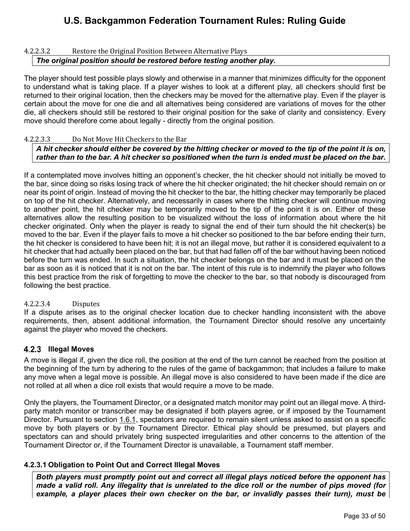#### 4.2.2.3.2 Restore the Original Position Between Alternative Plays *The original position should be restored before testing another play.*

The player should test possible plays slowly and otherwise in a manner that minimizes difficulty for the opponent to understand what is taking place. If a player wishes to look at a different play, all checkers should first be returned to their original location, then the checkers may be moved for the alternative play. Even if the player is certain about the move for one die and all alternatives being considered are variations of moves for the other die, all checkers should still be restored to their original position for the sake of clarity and consistency. Every move should therefore come about legally - directly from the original position.

#### 4.2.2.3.3 Do Not Move Hit Checkers to the Bar

### *A hit checker should either be covered by the hitting checker or moved to the tip of the point it is on, rather than to the bar. A hit checker so positioned when the turn is ended must be placed on the bar.*

If a contemplated move involves hitting an opponent's checker, the hit checker should not initially be moved to the bar, since doing so risks losing track of where the hit checker originated; the hit checker should remain on or near its point of origin. Instead of moving the hit checker to the bar, the hitting checker may temporarily be placed on top of the hit checker. Alternatively, and necessarily in cases where the hitting checker will continue moving to another point, the hit checker may be temporarily moved to the tip of the point it is on. Either of these alternatives allow the resulting position to be visualized without the loss of information about where the hit checker originated. Only when the player is ready to signal the end of their turn should the hit checker(s) be moved to the bar. Even if the player fails to move a hit checker so positioned to the bar before ending their turn, the hit checker is considered to have been hit; it is not an illegal move, but rather it is considered equivalent to a hit checker that had actually been placed on the bar, but that had fallen off of the bar without having been noticed before the turn was ended. In such a situation, the hit checker belongs on the bar and it must be placed on the bar as soon as it is noticed that it is not on the bar. The intent of this rule is to indemnify the player who follows this best practice from the risk of forgetting to move the checker to the bar, so that nobody is discouraged from following the best practice.

#### 4.2.2.3.4 Disputes

If a dispute arises as to the original checker location due to checker handling inconsistent with the above requirements, then, absent additional information, the Tournament Director should resolve any uncertainty against the player who moved the checkers.

#### <span id="page-33-0"></span>**4.2.3 Illegal Moves**

A move is illegal if, given the dice roll, the position at the end of the turn cannot be reached from the position at the beginning of the turn by adhering to the rules of the game of backgammon; that includes a failure to make any move when a legal move is possible. An illegal move is also considered to have been made if the dice are not rolled at all when a dice roll exists that would require a move to be made.

Only the players, the Tournament Director, or a designated match monitor may point out an illegal move. A thirdparty match monitor or transcriber may be designated if both players agree, or if imposed by the Tournament Director. Pursuant to section [1.6.1,](#page-10-6) spectators are required to remain silent unless asked to assist on a specific move by both players or by the Tournament Director. Ethical play should be presumed, but players and spectators can and should privately bring suspected irregularities and other concerns to the attention of the Tournament Director or, if the Tournament Director is unavailable, a Tournament staff member.

#### <span id="page-33-1"></span>**4.2.3.1 Obligation to Point Out and Correct Illegal Moves**

*Both players must promptly point out and correct all illegal plays noticed before the opponent has made a valid roll. Any illegality that is unrelated to the dice roll or the number of pips moved (for example, a player places their own checker on the bar, or invalidly passes their turn), must be*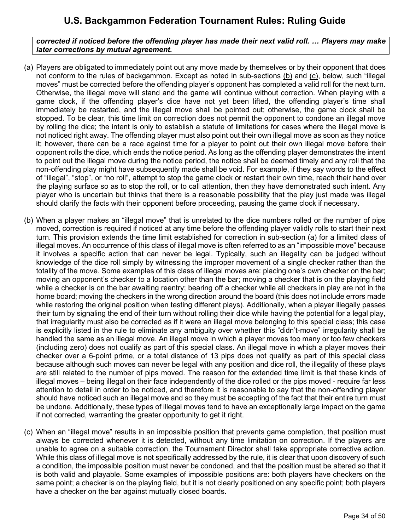### *corrected if noticed before the offending player has made their next valid roll. … Players may make later corrections by mutual agreement.*

- <span id="page-34-2"></span>(a) Players are obligated to immediately point out any move made by themselves or by their opponent that does not conform to the rules of backgammon. Except as noted in sub-sections [\(b\)](#page-34-0) and [\(c\),](#page-34-1) below, such "illegal moves" must be corrected before the offending player's opponent has completed a valid roll for the next turn. Otherwise, the illegal move will stand and the game will continue without correction. When playing with a game clock, if the offending player's dice have not yet been lifted, the offending player's time shall immediately be restarted, and the illegal move shall be pointed out; otherwise, the game clock shall be stopped. To be clear, this time limit on correction does not permit the opponent to condone an illegal move by rolling the dice; the intent is only to establish a statute of limitations for cases where the illegal move is not noticed right away. The offending player must also point out their own illegal move as soon as they notice it; however, there can be a race against time for a player to point out their own illegal move before their opponent rolls the dice, which ends the notice period. As long as the offending player demonstrates the intent to point out the illegal move during the notice period, the notice shall be deemed timely and any roll that the non-offending play might have subsequently made shall be void. For example, if they say words to the effect of "illegal", "stop", or "no roll", attempt to stop the game clock or restart their own time, reach their hand over the playing surface so as to stop the roll, or to call attention, then they have demonstrated such intent. Any player who is uncertain but thinks that there is a reasonable possibility that the play just made was illegal should clarify the facts with their opponent before proceeding, pausing the game clock if necessary.
- <span id="page-34-0"></span>(b) When a player makes an "illegal move" that is unrelated to the dice numbers rolled or the number of pips moved, correction is required if noticed at any time before the offending player validly rolls to start their next turn. This provision extends the time limit established for correction in sub-section [\(a\)](#page-34-2) for a limited class of illegal moves. An occurrence of this class of illegal move is often referred to as an "impossible move" because it involves a specific action that can never be legal. Typically, such an illegality can be judged without knowledge of the dice roll simply by witnessing the improper movement of a single checker rather than the totality of the move. Some examples of this class of illegal moves are: placing one's own checker on the bar; moving an opponent's checker to a location other than the bar; moving a checker that is on the playing field while a checker is on the bar awaiting reentry; bearing off a checker while all checkers in play are not in the home board; moving the checkers in the wrong direction around the board (this does not include errors made while restoring the original position when testing different plays). Additionally, when a player illegally passes their turn by signaling the end of their turn without rolling their dice while having the potential for a legal play, that irregularity must also be corrected as if it were an illegal move belonging to this special class; this case is explicitly listed in the rule to eliminate any ambiguity over whether this "didn't-move" irregularity shall be handled the same as an illegal move. An illegal move in which a player moves too many or too few checkers (including zero) does not qualify as part of this special class. An illegal move in which a player moves their checker over a 6-point prime, or a total distance of 13 pips does not qualify as part of this special class because although such moves can never be legal with any position and dice roll, the illegality of these plays are still related to the number of pips moved. The reason for the extended time limit is that these kinds of illegal moves – being illegal on their face independently of the dice rolled or the pips moved - require far less attention to detail in order to be noticed, and therefore it is reasonable to say that the non-offending player should have noticed such an illegal move and so they must be accepting of the fact that their entire turn must be undone. Additionally, these types of illegal moves tend to have an exceptionally large impact on the game if not corrected, warranting the greater opportunity to get it right.
- <span id="page-34-1"></span>(c) When an "illegal move" results in an impossible position that prevents game completion, that position must always be corrected whenever it is detected, without any time limitation on correction. If the players are unable to agree on a suitable correction, the Tournament Director shall take appropriate corrective action. While this class of illegal move is not specifically addressed by the rule, it is clear that upon discovery of such a condition, the impossible position must never be condoned, and that the position must be altered so that it is both valid and playable. Some examples of impossible positions are: both players have checkers on the same point; a checker is on the playing field, but it is not clearly positioned on any specific point; both players have a checker on the bar against mutually closed boards.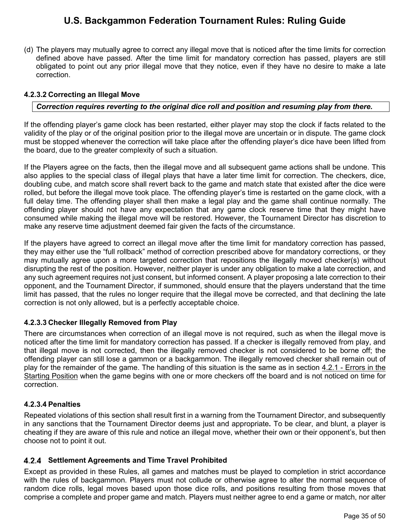(d) The players may mutually agree to correct any illegal move that is noticed after the time limits for correction defined above have passed. After the time limit for mandatory correction has passed, players are still obligated to point out any prior illegal move that they notice, even if they have no desire to make a late correction.

### <span id="page-35-0"></span>**4.2.3.2 Correcting an Illegal Move**

### *Correction requires reverting to the original dice roll and position and resuming play from there.*

If the offending player's game clock has been restarted, either player may stop the clock if facts related to the validity of the play or of the original position prior to the illegal move are uncertain or in dispute. The game clock must be stopped whenever the correction will take place after the offending player's dice have been lifted from the board, due to the greater complexity of such a situation.

If the Players agree on the facts, then the illegal move and all subsequent game actions shall be undone. This also applies to the special class of illegal plays that have a later time limit for correction. The checkers, dice, doubling cube, and match score shall revert back to the game and match state that existed after the dice were rolled, but before the illegal move took place. The offending player's time is restarted on the game clock, with a full delay time. The offending player shall then make a legal play and the game shall continue normally. The offending player should not have any expectation that any game clock reserve time that they might have consumed while making the illegal move will be restored. However, the Tournament Director has discretion to make any reserve time adjustment deemed fair given the facts of the circumstance.

If the players have agreed to correct an illegal move after the time limit for mandatory correction has passed, they may either use the "full rollback" method of correction prescribed above for mandatory corrections, or they may mutually agree upon a more targeted correction that repositions the illegally moved checker(s) without disrupting the rest of the position. However, neither player is under any obligation to make a late correction, and any such agreement requires not just consent, but informed consent. A player proposing a late correction to their opponent, and the Tournament Director, if summoned, should ensure that the players understand that the time limit has passed, that the rules no longer require that the illegal move be corrected, and that declining the late correction is not only allowed, but is a perfectly acceptable choice.

#### <span id="page-35-1"></span>**4.2.3.3 Checker Illegally Removed from Play**

There are circumstances when correction of an illegal move is not required, such as when the illegal move is noticed after the time limit for mandatory correction has passed. If a checker is illegally removed from play, and that illegal move is not corrected, then the illegally removed checker is not considered to be borne off; the offending player can still lose a gammon or a backgammon. The illegally removed checker shall remain out of play for the remainder of the game. The handling of this situation is the same as in section [4.2.1](#page-29-3) - [Errors in the](#page-29-3)  [Starting Position](#page-29-3) when the game begins with one or more checkers off the board and is not noticed on time for correction.

#### <span id="page-35-2"></span>**4.2.3.4 Penalties**

Repeated violations of this section shall result first in a warning from the Tournament Director, and subsequently in any sanctions that the Tournament Director deems just and appropriate**.** To be clear, and blunt, a player is cheating if they are aware of this rule and notice an illegal move, whether their own or their opponent's, but then choose not to point it out.

#### <span id="page-35-3"></span>**Settlement Agreements and Time Travel Prohibited**

Except as provided in these Rules, all games and matches must be played to completion in strict accordance with the rules of backgammon. Players must not collude or otherwise agree to alter the normal sequence of random dice rolls, legal moves based upon those dice rolls, and positions resulting from those moves that comprise a complete and proper game and match. Players must neither agree to end a game or match, nor alter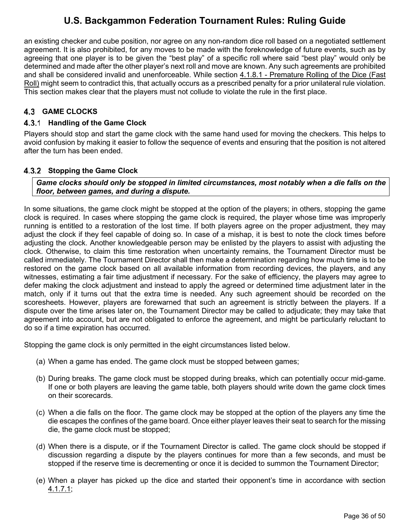an existing checker and cube position, nor agree on any non-random dice roll based on a negotiated settlement agreement. It is also prohibited, for any moves to be made with the foreknowledge of future events, such as by agreeing that one player is to be given the "best play" of a specific roll where said "best play" would only be determined and made after the other player's next roll and move are known. Any such agreements are prohibited and shall be considered invalid and unenforceable. While section [4.1.8.1](#page-27-2) - [Premature Rolling of the Dice \(Fast](#page-27-2)  [Roll\)](#page-27-2) might seem to contradict this, that actually occurs as a prescribed penalty for a prior unilateral rule violation. This section makes clear that the players must not collude to violate the rule in the first place.

## <span id="page-36-0"></span>**GAME CLOCKS**

### <span id="page-36-1"></span>**Handling of the Game Clock**

Players should stop and start the game clock with the same hand used for moving the checkers. This helps to avoid confusion by making it easier to follow the sequence of events and ensuring that the position is not altered after the turn has been ended.

#### <span id="page-36-2"></span>**4.3.2 Stopping the Game Clock**

*Game clocks should only be stopped in limited circumstances, most notably when a die falls on the floor, between games, and during a dispute.* 

In some situations, the game clock might be stopped at the option of the players; in others, stopping the game clock is required. In cases where stopping the game clock is required, the player whose time was improperly running is entitled to a restoration of the lost time. If both players agree on the proper adjustment, they may adjust the clock if they feel capable of doing so. In case of a mishap, it is best to note the clock times before adjusting the clock. Another knowledgeable person may be enlisted by the players to assist with adjusting the clock. Otherwise, to claim this time restoration when uncertainty remains, the Tournament Director must be called immediately. The Tournament Director shall then make a determination regarding how much time is to be restored on the game clock based on all available information from recording devices, the players, and any witnesses, estimating a fair time adjustment if necessary. For the sake of efficiency, the players may agree to defer making the clock adjustment and instead to apply the agreed or determined time adjustment later in the match, only if it turns out that the extra time is needed. Any such agreement should be recorded on the scoresheets. However, players are forewarned that such an agreement is strictly between the players. If a dispute over the time arises later on, the Tournament Director may be called to adjudicate; they may take that agreement into account, but are not obligated to enforce the agreement, and might be particularly reluctant to do so if a time expiration has occurred.

Stopping the game clock is only permitted in the eight circumstances listed below.

- (a) When a game has ended. The game clock must be stopped between games;
- (b) During breaks. The game clock must be stopped during breaks, which can potentially occur mid-game. If one or both players are leaving the game table, both players should write down the game clock times on their scorecards.
- (c) When a die falls on the floor. The game clock may be stopped at the option of the players any time the die escapes the confines of the game board. Once either player leaves their seat to search for the missing die, the game clock must be stopped;
- (d) When there is a dispute, or if the Tournament Director is called. The game clock should be stopped if discussion regarding a dispute by the players continues for more than a few seconds, and must be stopped if the reserve time is decrementing or once it is decided to summon the Tournament Director;
- (e) When a player has picked up the dice and started their opponent's time in accordance with section [4.1.7.1;](#page-26-1)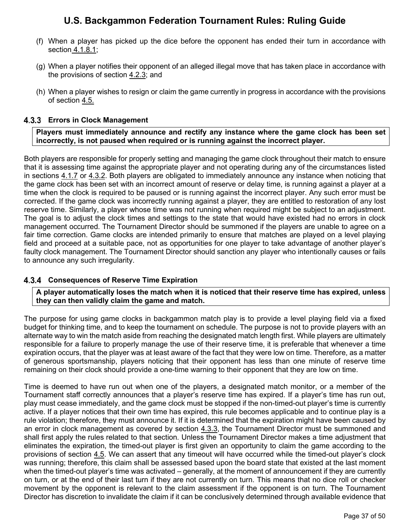- (f) When a player has picked up the dice before the opponent has ended their turn in accordance with section [4.1.8.1;](#page-27-2)
- (g) When a player notifies their opponent of an alleged illegal move that has taken place in accordance with the provisions of section [4.2.3;](#page-33-0) and
- (h) When a player wishes to resign or claim the game currently in progress in accordance with the provisions of section [4.5.](#page-42-3)

### <span id="page-37-0"></span>**Errors in Clock Management**

**Players must immediately announce and rectify any instance where the game clock has been set incorrectly, is not paused when required or is running against the incorrect player.**

Both players are responsible for properly setting and managing the game clock throughout their match to ensure that it is assessing time against the appropriate player and not operating during any of the circumstances listed in sections [4.1.7](#page-26-0) or [4.3.2.](#page-36-2) Both players are obligated to immediately announce any instance when noticing that the game clock has been set with an incorrect amount of reserve or delay time, is running against a player at a time when the clock is required to be paused or is running against the incorrect player. Any such error must be corrected. If the game clock was incorrectly running against a player, they are entitled to restoration of any lost reserve time. Similarly, a player whose time was not running when required might be subject to an adjustment. The goal is to adjust the clock times and settings to the state that would have existed had no errors in clock management occurred. The Tournament Director should be summoned if the players are unable to agree on a fair time correction. Game clocks are intended primarily to ensure that matches are played on a level playing field and proceed at a suitable pace, not as opportunities for one player to take advantage of another player's faulty clock management. The Tournament Director should sanction any player who intentionally causes or fails to announce any such irregularity.

#### <span id="page-37-1"></span>**Consequences of Reserve Time Expiration**

#### **A player automatically loses the match when it is noticed that their reserve time has expired, unless they can then validly claim the game and match.**

The purpose for using game clocks in backgammon match play is to provide a level playing field via a fixed budget for thinking time, and to keep the tournament on schedule. The purpose is not to provide players with an alternate way to win the match aside from reaching the designated match length first. While players are ultimately responsible for a failure to properly manage the use of their reserve time, it is preferable that whenever a time expiration occurs, that the player was at least aware of the fact that they were low on time. Therefore, as a matter of generous sportsmanship, players noticing that their opponent has less than one minute of reserve time remaining on their clock should provide a one-time warning to their opponent that they are low on time.

Time is deemed to have run out when one of the players, a designated match monitor, or a member of the Tournament staff correctly announces that a player's reserve time has expired. If a player's time has run out, play must cease immediately, and the game clock must be stopped if the non-timed-out player's time is currently active. If a player notices that their own time has expired, this rule becomes applicable and to continue play is a rule violation; therefore, they must announce it. If it is determined that the expiration might have been caused by an error in clock management as covered by section [4.3.3,](#page-37-0) the Tournament Director must be summoned and shall first apply the rules related to that section. Unless the Tournament Director makes a time adjustment that eliminates the expiration, the timed-out player is first given an opportunity to claim the game according to the provisions of section [4.5.](#page-42-3) We can assert that any timeout will have occurred while the timed-out player's clock was running; therefore, this claim shall be assessed based upon the board state that existed at the last moment when the timed-out player's time was activated – generally, at the moment of announcement if they are currently on turn, or at the end of their last turn if they are not currently on turn. This means that no dice roll or checker movement by the opponent is relevant to the claim assessment if the opponent is on turn. The Tournament Director has discretion to invalidate the claim if it can be conclusively determined through available evidence that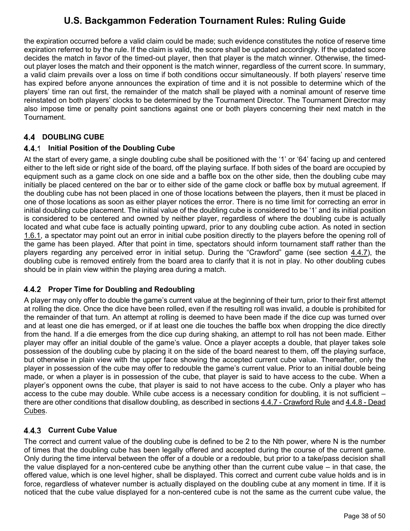the expiration occurred before a valid claim could be made; such evidence constitutes the notice of reserve time expiration referred to by the rule. If the claim is valid, the score shall be updated accordingly. If the updated score decides the match in favor of the timed-out player, then that player is the match winner. Otherwise, the timedout player loses the match and their opponent is the match winner, regardless of the current score. In summary, a valid claim prevails over a loss on time if both conditions occur simultaneously. If both players' reserve time has expired before anyone announces the expiration of time and it is not possible to determine which of the players' time ran out first, the remainder of the match shall be played with a nominal amount of reserve time reinstated on both players' clocks to be determined by the Tournament Director. The Tournament Director may also impose time or penalty point sanctions against one or both players concerning their next match in the Tournament.

## <span id="page-38-0"></span>**4.4 DOUBLING CUBE**

### <span id="page-38-1"></span>**4.4.1 Initial Position of the Doubling Cube**

At the start of every game, a single doubling cube shall be positioned with the '1' or '64' facing up and centered either to the left side or right side of the board, off the playing surface. If both sides of the board are occupied by equipment such as a game clock on one side and a baffle box on the other side, then the doubling cube may initially be placed centered on the bar or to either side of the game clock or baffle box by mutual agreement. If the doubling cube has not been placed in one of those locations between the players, then it must be placed in one of those locations as soon as either player notices the error. There is no time limit for correcting an error in initial doubling cube placement. The initial value of the doubling cube is considered to be '1' and its initial position is considered to be centered and owned by neither player, regardless of where the doubling cube is actually located and what cube face is actually pointing upward, prior to any doubling cube action. As noted in section [1.6.1,](#page-10-6) a spectator may point out an error in initial cube position directly to the players before the opening roll of the game has been played. After that point in time, spectators should inform tournament staff rather than the players regarding any perceived error in initial setup. During the "Crawford" game (see section [4.4.7\)](#page-41-0), the doubling cube is removed entirely from the board area to clarify that it is not in play. No other doubling cubes should be in plain view within the playing area during a match.

## <span id="page-38-2"></span>**Proper Time for Doubling and Redoubling**

A player may only offer to double the game's current value at the beginning of their turn, prior to their first attempt at rolling the dice. Once the dice have been rolled, even if the resulting roll was invalid, a double is prohibited for the remainder of that turn. An attempt at rolling is deemed to have been made if the dice cup was turned over and at least one die has emerged, or if at least one die touches the baffle box when dropping the dice directly from the hand. If a die emerges from the dice cup during shaking, an attempt to roll has not been made. Either player may offer an initial double of the game's value. Once a player accepts a double, that player takes sole possession of the doubling cube by placing it on the side of the board nearest to them, off the playing surface, but otherwise in plain view with the upper face showing the accepted current cube value. Thereafter, only the player in possession of the cube may offer to redouble the game's current value. Prior to an initial double being made, or when a player is in possession of the cube, that player is said to have access to the cube. When a player's opponent owns the cube, that player is said to not have access to the cube. Only a player who has access to the cube may double. While cube access is a necessary condition for doubling, it is not sufficient – there are other conditions that disallow doubling, as described in sections [4.4.7](#page-41-0) - [Crawford Rule](#page-41-0) and [4.4.8 - Dead](#page-42-0)  [Cubes.](#page-42-0)

## <span id="page-38-3"></span>**Current Cube Value**

The correct and current value of the doubling cube is defined to be 2 to the Nth power, where N is the number of times that the doubling cube has been legally offered and accepted during the course of the current game. Only during the time interval between the offer of a double or a redouble, but prior to a take/pass decision shall the value displayed for a non-centered cube be anything other than the current cube value – in that case, the offered value, which is one level higher, shall be displayed. This correct and current cube value holds and is in force, regardless of whatever number is actually displayed on the doubling cube at any moment in time. If it is noticed that the cube value displayed for a non-centered cube is not the same as the current cube value, the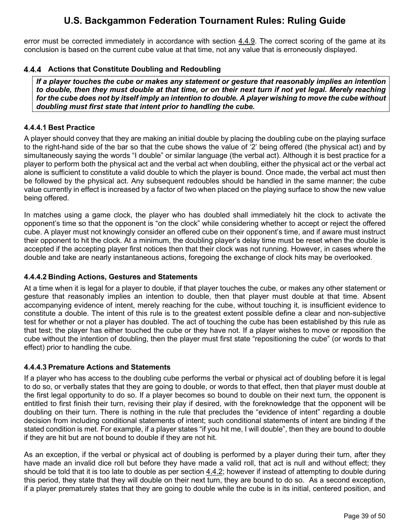error must be corrected immediately in accordance with section [4.4.9.](#page-42-1) The correct scoring of the game at its conclusion is based on the current cube value at that time, not any value that is erroneously displayed.

### <span id="page-39-0"></span>**Actions that Constitute Doubling and Redoubling**

*If a player touches the cube or makes any statement or gesture that reasonably implies an intention to double, then they must double at that time, or on their next turn if not yet legal. Merely reaching for the cube does not by itself imply an intention to double. A player wishing to move the cube without doubling must first state that intent prior to handling the cube.*

#### <span id="page-39-1"></span>**4.4.4.1 Best Practice**

A player should convey that they are making an initial double by placing the doubling cube on the playing surface to the right-hand side of the bar so that the cube shows the value of '2' being offered (the physical act) and by simultaneously saying the words "I double" or similar language (the verbal act). Although it is best practice for a player to perform both the physical act and the verbal act when doubling, either the physical act or the verbal act alone is sufficient to constitute a valid double to which the player is bound. Once made, the verbal act must then be followed by the physical act. Any subsequent redoubles should be handled in the same manner; the cube value currently in effect is increased by a factor of two when placed on the playing surface to show the new value being offered.

In matches using a game clock, the player who has doubled shall immediately hit the clock to activate the opponent's time so that the opponent is "on the clock" while considering whether to accept or reject the offered cube. A player must not knowingly consider an offered cube on their opponent's time, and if aware must instruct their opponent to hit the clock. At a minimum, the doubling player's delay time must be reset when the double is accepted if the accepting player first notices then that their clock was not running. However, in cases where the double and take are nearly instantaneous actions, foregoing the exchange of clock hits may be overlooked.

#### <span id="page-39-2"></span>**4.4.4.2 Binding Actions, Gestures and Statements**

At a time when it is legal for a player to double, if that player touches the cube, or makes any other statement or gesture that reasonably implies an intention to double, then that player must double at that time. Absent accompanying evidence of intent, merely reaching for the cube, without touching it, is insufficient evidence to constitute a double. The intent of this rule is to the greatest extent possible define a clear and non-subjective test for whether or not a player has doubled. The act of touching the cube has been established by this rule as that test; the player has either touched the cube or they have not. If a player wishes to move or reposition the cube without the intention of doubling, then the player must first state "repositioning the cube" (or words to that effect) prior to handling the cube.

#### <span id="page-39-3"></span>**4.4.4.3 Premature Actions and Statements**

If a player who has access to the doubling cube performs the verbal or physical act of doubling before it is legal to do so, or verbally states that they are going to double, or words to that effect, then that player must double at the first legal opportunity to do so. If a player becomes so bound to double on their next turn, the opponent is entitled to first finish their turn, revising their play if desired, with the foreknowledge that the opponent will be doubling on their turn. There is nothing in the rule that precludes the "evidence of intent" regarding a double decision from including conditional statements of intent; such conditional statements of intent are binding if the stated condition is met. For example, if a player states "if you hit me, I will double", then they are bound to double if they are hit but are not bound to double if they are not hit.

As an exception, if the verbal or physical act of doubling is performed by a player during their turn, after they have made an invalid dice roll but before they have made a valid roll, that act is null and without effect; they should be told that it is too late to double as per section  $4.4.2$ ; however if instead of attempting to double during this period, they state that they will double on their next turn, they are bound to do so. As a second exception, if a player prematurely states that they are going to double while the cube is in its initial, centered position, and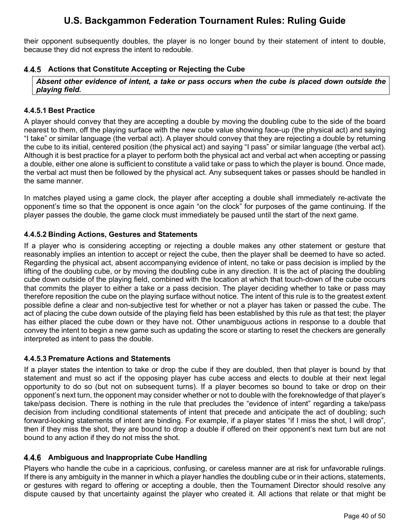their opponent subsequently doubles, the player is no longer bound by their statement of intent to double, because they did not express the intent to redouble.

### <span id="page-40-0"></span>**4.4.5 Actions that Constitute Accepting or Rejecting the Cube**

*Absent other evidence of intent, a take or pass occurs when the cube is placed down outside the playing field.*

### <span id="page-40-1"></span>**4.4.5.1 Best Practice**

A player should convey that they are accepting a double by moving the doubling cube to the side of the board nearest to them, off the playing surface with the new cube value showing face-up (the physical act) and saying "I take" or similar language (the verbal act). A player should convey that they are rejecting a double by returning the cube to its initial, centered position (the physical act) and saying "I pass" or similar language (the verbal act). Although it is best practice for a player to perform both the physical act and verbal act when accepting or passing a double, either one alone is sufficient to constitute a valid take or pass to which the player is bound. Once made, the verbal act must then be followed by the physical act. Any subsequent takes or passes should be handled in the same manner.

In matches played using a game clock, the player after accepting a double shall immediately re-activate the opponent's time so that the opponent is once again "on the clock" for purposes of the game continuing. If the player passes the double, the game clock must immediately be paused until the start of the next game.

### <span id="page-40-2"></span>**4.4.5.2 Binding Actions, Gestures and Statements**

If a player who is considering accepting or rejecting a double makes any other statement or gesture that reasonably implies an intention to accept or reject the cube, then the player shall be deemed to have so acted. Regarding the physical act, absent accompanying evidence of intent, no take or pass decision is implied by the lifting of the doubling cube, or by moving the doubling cube in any direction. It is the act of placing the doubling cube down outside of the playing field, combined with the location at which that touch-down of the cube occurs that commits the player to either a take or a pass decision. The player deciding whether to take or pass may therefore reposition the cube on the playing surface without notice. The intent of this rule is to the greatest extent possible define a clear and non-subjective test for whether or not a player has taken or passed the cube. The act of placing the cube down outside of the playing field has been established by this rule as that test; the player has either placed the cube down or they have not. Other unambiguous actions in response to a double that convey the intent to begin a new game such as updating the score or starting to reset the checkers are generally interpreted as intent to pass the double.

#### <span id="page-40-3"></span>**4.4.5.3 Premature Actions and Statements**

If a player states the intention to take or drop the cube if they are doubled, then that player is bound by that statement and must so act if the opposing player has cube access and elects to double at their next legal opportunity to do so (but not on subsequent turns). If a player becomes so bound to take or drop on their opponent's next turn, the opponent may consider whether or not to double with the foreknowledge of that player's take/pass decision. There is nothing in the rule that precludes the "evidence of intent" regarding a take/pass decision from including conditional statements of intent that precede and anticipate the act of doubling; such forward-looking statements of intent are binding. For example, if a player states "if I miss the shot, I will drop", then if they miss the shot, they are bound to drop a double if offered on their opponent's next turn but are not bound to any action if they do not miss the shot.

## <span id="page-40-4"></span>**Ambiguous and Inappropriate Cube Handling**

Players who handle the cube in a capricious, confusing, or careless manner are at risk for unfavorable rulings. If there is any ambiguity in the manner in which a player handles the doubling cube or in their actions, statements, or gestures with regard to offering or accepting a double, then the Tournament Director should resolve any dispute caused by that uncertainty against the player who created it. All actions that relate or that might be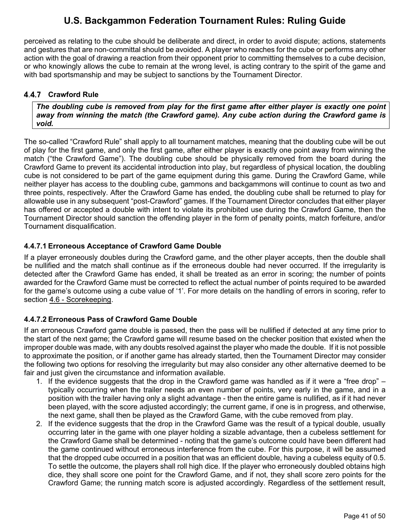perceived as relating to the cube should be deliberate and direct, in order to avoid dispute; actions, statements and gestures that are non-committal should be avoided. A player who reaches for the cube or performs any other action with the goal of drawing a reaction from their opponent prior to committing themselves to a cube decision, or who knowingly allows the cube to remain at the wrong level, is acting contrary to the spirit of the game and with bad sportsmanship and may be subject to sanctions by the Tournament Director.

### <span id="page-41-0"></span>**Crawford Rule**

*The doubling cube is removed from play for the first game after either player is exactly one point away from winning the match (the Crawford game). Any cube action during the Crawford game is void.*

The so-called "Crawford Rule" shall apply to all tournament matches, meaning that the doubling cube will be out of play for the first game, and only the first game, after either player is exactly one point away from winning the match ("the Crawford Game"). The doubling cube should be physically removed from the board during the Crawford Game to prevent its accidental introduction into play, but regardless of physical location, the doubling cube is not considered to be part of the game equipment during this game. During the Crawford Game, while neither player has access to the doubling cube, gammons and backgammons will continue to count as two and three points, respectively. After the Crawford Game has ended, the doubling cube shall be returned to play for allowable use in any subsequent "post-Crawford" games. If the Tournament Director concludes that either player has offered or accepted a double with intent to violate its prohibited use during the Crawford Game, then the Tournament Director should sanction the offending player in the form of penalty points, match forfeiture, and/or Tournament disqualification.

### <span id="page-41-1"></span>**4.4.7.1 Erroneous Acceptance of Crawford Game Double**

If a player erroneously doubles during the Crawford game, and the other player accepts, then the double shall be nullified and the match shall continue as if the erroneous double had never occurred. If the irregularity is detected after the Crawford Game has ended, it shall be treated as an error in scoring; the number of points awarded for the Crawford Game must be corrected to reflect the actual number of points required to be awarded for the game's outcome using a cube value of '1'. For more details on the handling of errors in scoring, refer to section [4.6](#page-44-0) - [Scorekeeping.](#page-44-0)

## <span id="page-41-2"></span>**4.4.7.2 Erroneous Pass of Crawford Game Double**

If an erroneous Crawford game double is passed, then the pass will be nullified if detected at any time prior to the start of the next game; the Crawford game will resume based on the checker position that existed when the improper double was made, with any doubts resolved against the player who made the double. If it is not possible to approximate the position, or if another game has already started, then the Tournament Director may consider the following two options for resolving the irregularity but may also consider any other alternative deemed to be fair and just given the circumstance and information available.

- 1. If the evidence suggests that the drop in the Crawford game was handled as if it were a "free drop" typically occurring when the trailer needs an even number of points, very early in the game, and in a position with the trailer having only a slight advantage - then the entire game is nullified, as if it had never been played, with the score adjusted accordingly; the current game, if one is in progress, and otherwise, the next game, shall then be played as the Crawford Game, with the cube removed from play.
- 2. If the evidence suggests that the drop in the Crawford Game was the result of a typical double, usually occurring later in the game with one player holding a sizable advantage, then a cubeless settlement for the Crawford Game shall be determined - noting that the game's outcome could have been different had the game continued without erroneous interference from the cube. For this purpose, it will be assumed that the dropped cube occurred in a position that was an efficient double, having a cubeless equity of 0.5. To settle the outcome, the players shall roll high dice. If the player who erroneously doubled obtains high dice, they shall score one point for the Crawford Game, and if not, they shall score zero points for the Crawford Game; the running match score is adjusted accordingly. Regardless of the settlement result,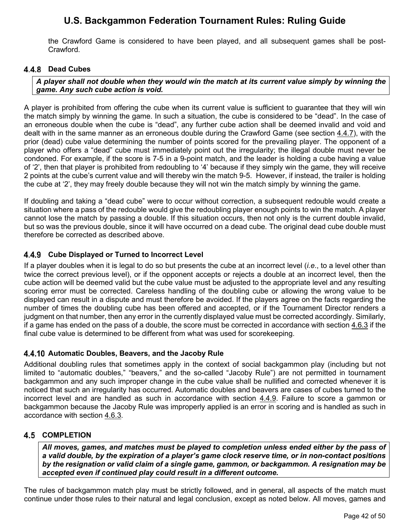the Crawford Game is considered to have been played, and all subsequent games shall be post-Crawford.

### <span id="page-42-0"></span>**Dead Cubes**

*A player shall not double when they would win the match at its current value simply by winning the game. Any such cube action is void.*

A player is prohibited from offering the cube when its current value is sufficient to guarantee that they will win the match simply by winning the game. In such a situation, the cube is considered to be "dead". In the case of an erroneous double when the cube is "dead", any further cube action shall be deemed invalid and void and dealt with in the same manner as an erroneous double during the Crawford Game (see section [4.4.7\)](#page-41-0), with the prior (dead) cube value determining the number of points scored for the prevailing player. The opponent of a player who offers a "dead" cube must immediately point out the irregularity; the illegal double must never be condoned. For example, if the score is 7-5 in a 9-point match, and the leader is holding a cube having a value of '2', then that player is prohibited from redoubling to '4' because if they simply win the game, they will receive 2 points at the cube's current value and will thereby win the match 9-5. However, if instead, the trailer is holding the cube at '2', they may freely double because they will not win the match simply by winning the game.

If doubling and taking a "dead cube" were to occur without correction, a subsequent redouble would create a situation where a pass of the redouble would give the redoubling player enough points to win the match. A player cannot lose the match by passing a double. If this situation occurs, then not only is the current double invalid, but so was the previous double, since it will have occurred on a dead cube. The original dead cube double must therefore be corrected as described above.

### <span id="page-42-1"></span>**Cube Displayed or Turned to Incorrect Level**

If a player doubles when it is legal to do so but presents the cube at an incorrect level (*i.e*., to a level other than twice the correct previous level), or if the opponent accepts or rejects a double at an incorrect level, then the cube action will be deemed valid but the cube value must be adjusted to the appropriate level and any resulting scoring error must be corrected. Careless handling of the doubling cube or allowing the wrong value to be displayed can result in a dispute and must therefore be avoided. If the players agree on the facts regarding the number of times the doubling cube has been offered and accepted, or if the Tournament Director renders a judgment on that number, then any error in the currently displayed value must be corrected accordingly. Similarly, if a game has ended on the pass of a double, the score must be corrected in accordance with section [4.6.3](#page-44-3) if the final cube value is determined to be different from what was used for scorekeeping.

#### <span id="page-42-2"></span>**4.4.10 Automatic Doubles, Beavers, and the Jacoby Rule**

Additional doubling rules that sometimes apply in the context of social backgammon play (including but not limited to "automatic doubles," "beavers," and the so-called "Jacoby Rule") are not permitted in tournament backgammon and any such improper change in the cube value shall be nullified and corrected whenever it is noticed that such an irregularity has occurred. Automatic doubles and beavers are cases of cubes turned to the incorrect level and are handled as such in accordance with section  $4.4.9$ . Failure to score a gammon or backgammon because the Jacoby Rule was improperly applied is an error in scoring and is handled as such in accordance with section [4.6.3.](#page-44-3)

#### <span id="page-42-3"></span>**4.5 COMPLETION**

*All moves, games, and matches must be played to completion unless ended either by the pass of a valid double, by the expiration of a player's game clock reserve time, or in non-contact positions by the resignation or valid claim of a single game, gammon, or backgammon. A resignation may be accepted even if continued play could result in a different outcome.*

The rules of backgammon match play must be strictly followed, and in general, all aspects of the match must continue under those rules to their natural and legal conclusion, except as noted below. All moves, games and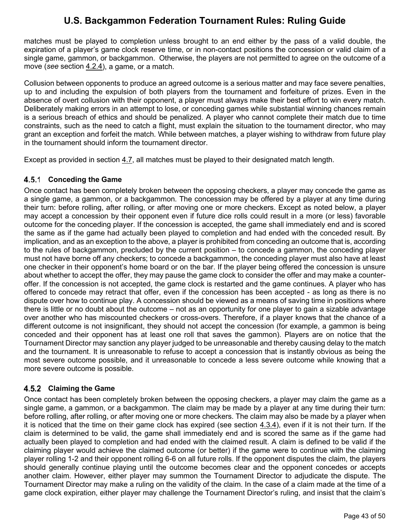matches must be played to completion unless brought to an end either by the pass of a valid double, the expiration of a player's game clock reserve time, or in non-contact positions the concession or valid claim of a single game, gammon, or backgammon. Otherwise, the players are not permitted to agree on the outcome of a move (*see* section [4.2.4\)](#page-35-3), a game, or a match.

Collusion between opponents to produce an agreed outcome is a serious matter and may face severe penalties, up to and including the expulsion of both players from the tournament and forfeiture of prizes. Even in the absence of overt collusion with their opponent, a player must always make their best effort to win every match. Deliberately making errors in an attempt to lose, or conceding games while substantial winning chances remain is a serious breach of ethics and should be penalized. A player who cannot complete their match due to time constraints, such as the need to catch a flight, must explain the situation to the tournament director, who may grant an exception and forfeit the match. While between matches, a player wishing to withdraw from future play in the tournament should inform the tournament director.

Except as provided in section [4.7,](#page-45-0) all matches must be played to their designated match length.

## <span id="page-43-0"></span>**Conceding the Game**

Once contact has been completely broken between the opposing checkers, a player may concede the game as a single game, a gammon, or a backgammon. The concession may be offered by a player at any time during their turn: before rolling, after rolling, or after moving one or more checkers. Except as noted below, a player may accept a concession by their opponent even if future dice rolls could result in a more (or less) favorable outcome for the conceding player. If the concession is accepted, the game shall immediately end and is scored the same as if the game had actually been played to completion and had ended with the conceded result. By implication, and as an exception to the above, a player is prohibited from conceding an outcome that is, according to the rules of backgammon, precluded by the current position – to concede a gammon, the conceding player must not have borne off any checkers; to concede a backgammon, the conceding player must also have at least one checker in their opponent's home board or on the bar. If the player being offered the concession is unsure about whether to accept the offer, they may pause the game clock to consider the offer and may make a counteroffer. If the concession is not accepted, the game clock is restarted and the game continues. A player who has offered to concede may retract that offer, even if the concession has been accepted - as long as there is no dispute over how to continue play. A concession should be viewed as a means of saving time in positions where there is little or no doubt about the outcome – not as an opportunity for one player to gain a sizable advantage over another who has miscounted checkers or cross-overs. Therefore, if a player knows that the chance of a different outcome is not insignificant, they should not accept the concession (for example, a gammon is being conceded and their opponent has at least one roll that saves the gammon). Players are on notice that the Tournament Director may sanction any player judged to be unreasonable and thereby causing delay to the match and the tournament. It is unreasonable to refuse to accept a concession that is instantly obvious as being the most severe outcome possible, and it unreasonable to concede a less severe outcome while knowing that a more severe outcome is possible.

## <span id="page-43-1"></span>**Claiming the Game**

Once contact has been completely broken between the opposing checkers, a player may claim the game as a single game, a gammon, or a backgammon. The claim may be made by a player at any time during their turn: before rolling, after rolling, or after moving one or more checkers. The claim may also be made by a player when it is noticed that the time on their game clock has expired (see section [4.3.4\)](#page-37-1), even if it is not their turn. If the claim is determined to be valid, the game shall immediately end and is scored the same as if the game had actually been played to completion and had ended with the claimed result. A claim is defined to be valid if the claiming player would achieve the claimed outcome (or better) if the game were to continue with the claiming player rolling 1-2 and their opponent rolling 6-6 on all future rolls. If the opponent disputes the claim, the players should generally continue playing until the outcome becomes clear and the opponent concedes or accepts another claim. However, either player may summon the Tournament Director to adjudicate the dispute. The Tournament Director may make a ruling on the validity of the claim. In the case of a claim made at the time of a game clock expiration, either player may challenge the Tournament Director's ruling, and insist that the claim's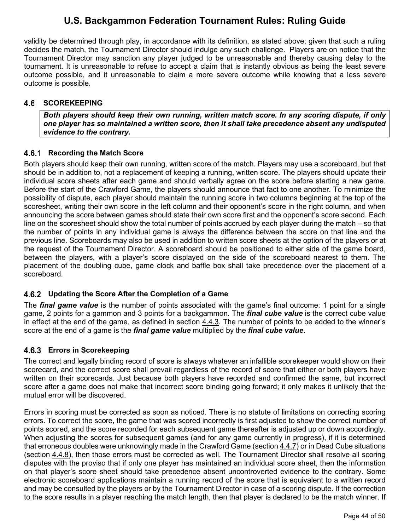validity be determined through play, in accordance with its definition, as stated above; given that such a ruling decides the match, the Tournament Director should indulge any such challenge. Players are on notice that the Tournament Director may sanction any player judged to be unreasonable and thereby causing delay to the tournament. It is unreasonable to refuse to accept a claim that is instantly obvious as being the least severe outcome possible, and it unreasonable to claim a more severe outcome while knowing that a less severe outcome is possible.

#### <span id="page-44-0"></span>4.6 **SCOREKEEPING**

*Both players should keep their own running, written match score. In any scoring dispute, if only one player has so maintained a written score, then it shall take precedence absent any undisputed evidence to the contrary.*

### <span id="page-44-1"></span>**4.6.1 Recording the Match Score**

Both players should keep their own running, written score of the match. Players may use a scoreboard, but that should be in addition to, not a replacement of keeping a running, written score. The players should update their individual score sheets after each game and should verbally agree on the score before starting a new game. Before the start of the Crawford Game, the players should announce that fact to one another. To minimize the possibility of dispute, each player should maintain the running score in two columns beginning at the top of the scoresheet, writing their own score in the left column and their opponent's score in the right column, and when announcing the score between games should state their own score first and the opponent's score second. Each line on the scoresheet should show the total number of points accrued by each player during the match – so that the number of points in any individual game is always the difference between the score on that line and the previous line. Scoreboards may also be used in addition to written score sheets at the option of the players or at the request of the Tournament Director. A scoreboard should be positioned to either side of the game board, between the players, with a player's score displayed on the side of the scoreboard nearest to them. The placement of the doubling cube, game clock and baffle box shall take precedence over the placement of a scoreboard.

## <span id="page-44-2"></span>**Updating the Score After the Completion of a Game**

The *final game value* is the number of points associated with the game's final outcome: 1 point for a single game, 2 points for a gammon and 3 points for a backgammon. The *final cube value* is the correct cube value in effect at the end of the game, as defined in section [4.4.3.](#page-38-3) The number of points to be added to the winner's score at the end of a game is the *final game value* multiplied by the *final cube value*.

## <span id="page-44-3"></span>**Errors in Scorekeeping**

The correct and legally binding record of score is always whatever an infallible scorekeeper would show on their scorecard, and the correct score shall prevail regardless of the record of score that either or both players have written on their scorecards. Just because both players have recorded and confirmed the same, but incorrect score after a game does not make that incorrect score binding going forward; it only makes it unlikely that the mutual error will be discovered.

Errors in scoring must be corrected as soon as noticed. There is no statute of limitations on correcting scoring errors. To correct the score, the game that was scored incorrectly is first adjusted to show the correct number of points scored, and the score recorded for each subsequent game thereafter is adjusted up or down accordingly. When adjusting the scores for subsequent games (and for any game currently in progress), if it is determined that erroneous doubles were unknowingly made in the Crawford Game (section  $4.4.7$ ) or in Dead Cube situations (section [4.4.8\)](#page-42-0), then those errors must be corrected as well. The Tournament Director shall resolve all scoring disputes with the proviso that if only one player has maintained an individual score sheet, then the information on that player's score sheet should take precedence absent uncontroverted evidence to the contrary. Some electronic scoreboard applications maintain a running record of the score that is equivalent to a written record and may be consulted by the players or by the Tournament Director in case of a scoring dispute. If the correction to the score results in a player reaching the match length, then that player is declared to be the match winner. If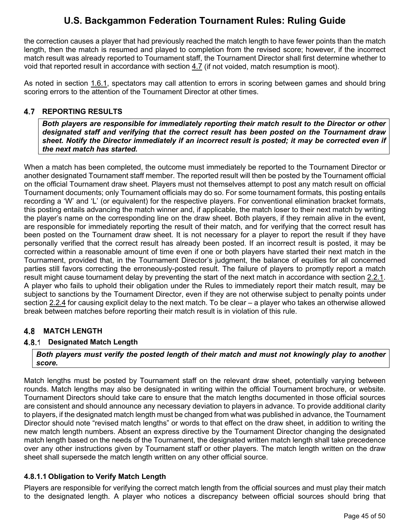the correction causes a player that had previously reached the match length to have fewer points than the match length, then the match is resumed and played to completion from the revised score; however, if the incorrect match result was already reported to Tournament staff, the Tournament Director shall first determine whether to void that reported result in accordance with section [4.7](#page-45-0) (if not voided, match resumption is moot).

As noted in section [1.6.1,](#page-10-6) spectators may call attention to errors in scoring between games and should bring scoring errors to the attention of the Tournament Director at other times.

## <span id="page-45-0"></span>**REPORTING RESULTS**

*Both players are responsible for immediately reporting their match result to the Director or other designated staff and verifying that the correct result has been posted on the Tournament draw sheet. Notify the Director immediately if an incorrect result is posted; it may be corrected even if the next match has started.*

When a match has been completed, the outcome must immediately be reported to the Tournament Director or another designated Tournament staff member. The reported result will then be posted by the Tournament official on the official Tournament draw sheet. Players must not themselves attempt to post any match result on official Tournament documents; only Tournament officials may do so. For some tournament formats, this posting entails recording a 'W' and 'L' (or equivalent) for the respective players. For conventional elimination bracket formats, this posting entails advancing the match winner and, if applicable, the match loser to their next match by writing the player's name on the corresponding line on the draw sheet. Both players, if they remain alive in the event, are responsible for immediately reporting the result of their match, and for verifying that the correct result has been posted on the Tournament draw sheet. It is not necessary for a player to report the result if they have personally verified that the correct result has already been posted. If an incorrect result is posted, it may be corrected within a reasonable amount of time even if one or both players have started their next match in the Tournament, provided that, in the Tournament Director's judgment, the balance of equities for all concerned parties still favors correcting the erroneously-posted result. The failure of players to promptly report a match result might cause tournament delay by preventing the start of the next match in accordance with section [2.2.1.](#page-14-5) A player who fails to uphold their obligation under the Rules to immediately report their match result, may be subject to sanctions by the Tournament Director, even if they are not otherwise subject to penalty points under section [2.2.4](#page-16-1) for causing explicit delay to the next match. To be clear – a player who takes an otherwise allowed break between matches before reporting their match result is in violation of this rule.

## <span id="page-45-1"></span> **MATCH LENGTH**

## <span id="page-45-2"></span>**4.8.1 Designated Match Length**

*Both players must verify the posted length of their match and must not knowingly play to another score.* 

Match lengths must be posted by Tournament staff on the relevant draw sheet, potentially varying between rounds. Match lengths may also be designated in writing within the official Tournament brochure, or website. Tournament Directors should take care to ensure that the match lengths documented in those official sources are consistent and should announce any necessary deviation to players in advance. To provide additional clarity to players, if the designated match length must be changed from what was published in advance, the Tournament Director should note "revised match lengths" or words to that effect on the draw sheet, in addition to writing the new match length numbers. Absent an express directive by the Tournament Director changing the designated match length based on the needs of the Tournament, the designated written match length shall take precedence over any other instructions given by Tournament staff or other players. The match length written on the draw sheet shall supersede the match length written on any other official source.

## <span id="page-45-3"></span>**4.8.1.1 Obligation to Verify Match Length**

Players are responsible for verifying the correct match length from the official sources and must play their match to the designated length. A player who notices a discrepancy between official sources should bring that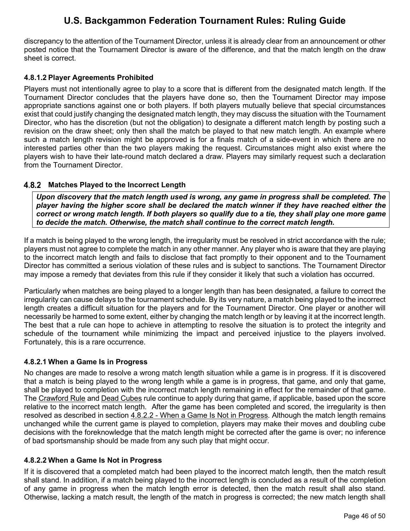discrepancy to the attention of the Tournament Director, unless it is already clear from an announcement or other posted notice that the Tournament Director is aware of the difference, and that the match length on the draw sheet is correct.

### <span id="page-46-0"></span>**4.8.1.2 Player Agreements Prohibited**

Players must not intentionally agree to play to a score that is different from the designated match length. If the Tournament Director concludes that the players have done so, then the Tournament Director may impose appropriate sanctions against one or both players. If both players mutually believe that special circumstances exist that could justify changing the designated match length, they may discuss the situation with the Tournament Director, who has the discretion (but not the obligation) to designate a different match length by posting such a revision on the draw sheet; only then shall the match be played to that new match length. An example where such a match length revision might be approved is for a finals match of a side-event in which there are no interested parties other than the two players making the request. Circumstances might also exist where the players wish to have their late-round match declared a draw. Players may similarly request such a declaration from the Tournament Director.

## <span id="page-46-1"></span>**Matches Played to the Incorrect Length**

*Upon discovery that the match length used is wrong, any game in progress shall be completed. The player having the higher score shall be declared the match winner if they have reached either the correct or wrong match length. If both players so qualify due to a tie, they shall play one more game to decide the match. Otherwise, the match shall continue to the correct match length.* 

If a match is being played to the wrong length, the irregularity must be resolved in strict accordance with the rule; players must not agree to complete the match in any other manner. Any player who is aware that they are playing to the incorrect match length and fails to disclose that fact promptly to their opponent and to the Tournament Director has committed a serious violation of these rules and is subject to sanctions. The Tournament Director may impose a remedy that deviates from this rule if they consider it likely that such a violation has occurred.

Particularly when matches are being played to a longer length than has been designated, a failure to correct the irregularity can cause delays to the tournament schedule. By its very nature, a match being played to the incorrect length creates a difficult situation for the players and for the Tournament Director. One player or another will necessarily be harmed to some extent, either by changing the match length or by leaving it at the incorrect length. The best that a rule can hope to achieve in attempting to resolve the situation is to protect the integrity and schedule of the tournament while minimizing the impact and perceived injustice to the players involved. Fortunately, this is a rare occurrence.

#### <span id="page-46-2"></span>**4.8.2.1 When a Game Is in Progress**

No changes are made to resolve a wrong match length situation while a game is in progress. If it is discovered that a match is being played to the wrong length while a game is in progress, that game, and only that game, shall be played to completion with the incorrect match length remaining in effect for the remainder of that game. The [Crawford Rule](#page-41-0) and [Dead Cubes](#page-42-0) rule continue to apply during that game, if applicable, based upon the score relative to the incorrect match length. After the game has been completed and scored, the irregularity is then resolved as described in section [4.8.2.2](#page-46-3) - [When a Game Is Not in Progress.](#page-46-3) Although the match length remains unchanged while the current game is played to completion, players may make their moves and doubling cube decisions with the foreknowledge that the match length might be corrected after the game is over; no inference of bad sportsmanship should be made from any such play that might occur.

#### <span id="page-46-3"></span>**4.8.2.2 When a Game Is Not in Progress**

If it is discovered that a completed match had been played to the incorrect match length, then the match result shall stand. In addition, if a match being played to the incorrect length is concluded as a result of the completion of any game in progress when the match length error is detected, then the match result shall also stand. Otherwise, lacking a match result, the length of the match in progress is corrected; the new match length shall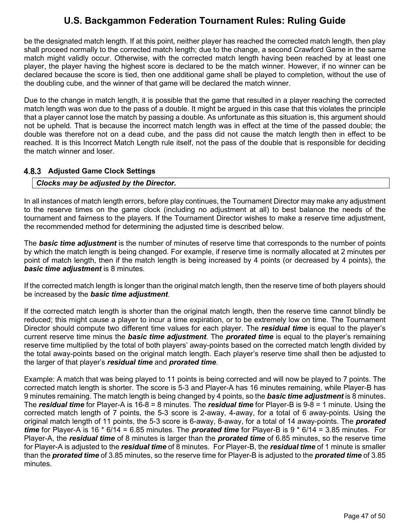be the designated match length. If at this point, neither player has reached the corrected match length, then play shall proceed normally to the corrected match length; due to the change, a second Crawford Game in the same match might validly occur. Otherwise, with the corrected match length having been reached by at least one player, the player having the highest score is declared to be the match winner. However, if no winner can be declared because the score is tied, then one additional game shall be played to completion, without the use of the doubling cube, and the winner of that game will be declared the match winner.

Due to the change in match length, it is possible that the game that resulted in a player reaching the corrected match length was won due to the pass of a double. It might be argued in this case that this violates the principle that a player cannot lose the match by passing a double. As unfortunate as this situation is, this argument should not be upheld. That is because the incorrect match length was in effect at the time of the passed double; the double was therefore not on a dead cube, and the pass did not cause the match length then in effect to be reached. It is this Incorrect Match Length rule itself, not the pass of the double that is responsible for deciding the match winner and loser.

### <span id="page-47-0"></span>**4.8.3 Adjusted Game Clock Settings**

### *Clocks may be adjusted by the Director.*

In all instances of match length errors, before play continues, the Tournament Director may make any adjustment to the reserve times on the game clock (including no adjustment at all) to best balance the needs of the tournament and fairness to the players. If the Tournament Director wishes to make a reserve time adjustment, the recommended method for determining the adjusted time is described below.

The *basic time adjustment* is the number of minutes of reserve time that corresponds to the number of points by which the match length is being changed. For example, if reserve time is normally allocated at 2 minutes per point of match length, then if the match length is being increased by 4 points (or decreased by 4 points), the *basic time adjustment* is 8 minutes.

If the corrected match length is longer than the original match length, then the reserve time of both players should be increased by the *basic time adjustment*.

If the corrected match length is shorter than the original match length, then the reserve time cannot blindly be reduced; this might cause a player to incur a time expiration, or to be extremely low on time. The Tournament Director should compute two different time values for each player. The *residual time* is equal to the player's current reserve time minus the *basic time adjustment*. The *prorated time* is equal to the player's remaining reserve time multiplied by the total of both players' away-points based on the corrected match length divided by the total away-points based on the original match length. Each player's reserve time shall then be adjusted to the larger of that player's *residual time* and *prorated time*.

Example: A match that was being played to 11 points is being corrected and will now be played to 7 points. The corrected match length is shorter. The score is 5-3 and Player-A has 16 minutes remaining, while Player-B has 9 minutes remaining. The match length is being changed by 4 points, so the *basic time adjustment* is 8 minutes. The *residual time* for Player-A is 16-8 = 8 minutes. The *residual time* for Player-B is 9-8 = 1 minute. Using the corrected match length of 7 points, the 5-3 score is 2-away, 4-away, for a total of 6 away-points. Using the original match length of 11 points, the 5-3 score is 6-away, 8-away, for a total of 14 away-points. The *prorated time* for Player-A is 16 \* 6/14 = 6.85 minutes. The *prorated time* for Player-B is 9 \* 6/14 = 3.85 minutes. For Player-A, the *residual time* of 8 minutes is larger than the *prorated time* of 6.85 minutes, so the reserve time for Player-A is adjusted to the *residual time* of 8 minutes. For Player-B, the *residual time* of 1 minute is smaller than the *prorated time* of 3.85 minutes, so the reserve time for Player-B is adjusted to the *prorated time* of 3.85 minutes.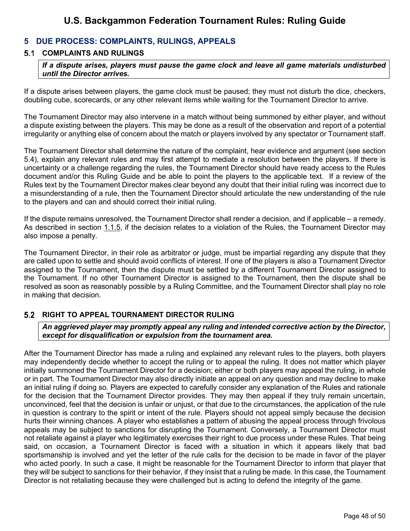## <span id="page-48-0"></span>**5 DUE PROCESS: COMPLAINTS, RULINGS, APPEALS**

## <span id="page-48-1"></span>**COMPLAINTS AND RULINGS**

*If a dispute arises, players must pause the game clock and leave all game materials undisturbed until the Director arrives.*

If a dispute arises between players, the game clock must be paused; they must not disturb the dice, checkers, doubling cube, scorecards, or any other relevant items while waiting for the Tournament Director to arrive.

The Tournament Director may also intervene in a match without being summoned by either player, and without a dispute existing between the players. This may be done as a result of the observation and report of a potential irregularity or anything else of concern about the match or players involved by any spectator or Tournament staff.

The Tournament Director shall determine the nature of the complaint, hear evidence and argument (see section [5.4\)](#page-50-0), explain any relevant rules and may first attempt to mediate a resolution between the players. If there is uncertainty or a challenge regarding the rules, the Tournament Director should have ready access to the Rules document and/or this Ruling Guide and be able to point the players to the applicable text. If a review of the Rules text by the Tournament Director makes clear beyond any doubt that their initial ruling was incorrect due to a misunderstanding of a rule, then the Tournament Director should articulate the new understanding of the rule to the players and can and should correct their initial ruling.

If the dispute remains unresolved, the Tournament Director shall render a decision, and if applicable – a remedy. As described in section [1.1.5,](#page-7-2) if the decision relates to a violation of the Rules, the Tournament Director may also impose a penalty.

The Tournament Director, in their role as arbitrator or judge, must be impartial regarding any dispute that they are called upon to settle and should avoid conflicts of interest. If one of the players is also a Tournament Director assigned to the Tournament, then the dispute must be settled by a different Tournament Director assigned to the Tournament. If no other Tournament Director is assigned to the Tournament, then the dispute shall be resolved as soon as reasonably possible by a Ruling Committee, and the Tournament Director shall play no role in making that decision.

## <span id="page-48-2"></span>**RIGHT TO APPEAL TOURNAMENT DIRECTOR RULING**

*An aggrieved player may promptly appeal any ruling and intended corrective action by the Director, except for disqualification or expulsion from the tournament area.* 

After the Tournament Director has made a ruling and explained any relevant rules to the players, both players may independently decide whether to accept the ruling or to appeal the ruling. It does not matter which player initially summoned the Tournament Director for a decision; either or both players may appeal the ruling, in whole or in part. The Tournament Director may also directly initiate an appeal on any question and may decline to make an initial ruling if doing so. Players are expected to carefully consider any explanation of the Rules and rationale for the decision that the Tournament Director provides. They may then appeal if they truly remain uncertain, unconvinced, feel that the decision is unfair or unjust, or that due to the circumstances, the application of the rule in question is contrary to the spirit or intent of the rule. Players should not appeal simply because the decision hurts their winning chances. A player who establishes a pattern of abusing the appeal process through frivolous appeals may be subject to sanctions for disrupting the Tournament. Conversely, a Tournament Director must not retaliate against a player who legitimately exercises their right to due process under these Rules. That being said, on occasion, a Tournament Director is faced with a situation in which it appears likely that bad sportsmanship is involved and yet the letter of the rule calls for the decision to be made in favor of the player who acted poorly. In such a case, it might be reasonable for the Tournament Director to inform that player that they will be subject to sanctions for their behavior, if they insist that a ruling be made. In this case, the Tournament Director is not retaliating because they were challenged but is acting to defend the integrity of the game.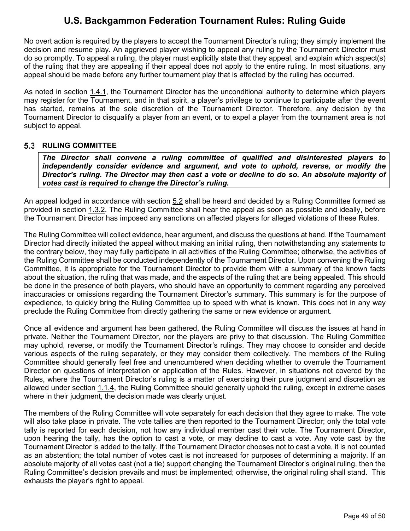No overt action is required by the players to accept the Tournament Director's ruling; they simply implement the decision and resume play. An aggrieved player wishing to appeal any ruling by the Tournament Director must do so promptly. To appeal a ruling, the player must explicitly state that they appeal, and explain which aspect(s) of the ruling that they are appealing if their appeal does not apply to the entire ruling. In most situations, any appeal should be made before any further tournament play that is affected by the ruling has occurred.

As noted in section [1.4.1,](#page-10-2) the Tournament Director has the unconditional authority to determine which players may register for the Tournament, and in that spirit, a player's privilege to continue to participate after the event has started, remains at the sole discretion of the Tournament Director. Therefore, any decision by the Tournament Director to disqualify a player from an event, or to expel a player from the tournament area is not subject to appeal.

### <span id="page-49-0"></span>**RULING COMMITTEE**

*The Director shall convene a ruling committee of qualified and disinterested players to independently consider evidence and argument, and vote to uphold, reverse, or modify the Director's ruling. The Director may then cast a vote or decline to do so. An absolute majority of votes cast is required to change the Director's ruling.*

An appeal lodged in accordance with section [5.2](#page-48-2) shall be heard and decided by a Ruling Committee formed as provided in section [1.3.2.](#page-9-5) The Ruling Committee shall hear the appeal as soon as possible and ideally, before the Tournament Director has imposed any sanctions on affected players for alleged violations of these Rules.

The Ruling Committee will collect evidence, hear argument, and discuss the questions at hand. If the Tournament Director had directly initiated the appeal without making an initial ruling, then notwithstanding any statements to the contrary below, they may fully participate in all activities of the Ruling Committee; otherwise, the activities of the Ruling Committee shall be conducted independently of the Tournament Director. Upon convening the Ruling Committee, it is appropriate for the Tournament Director to provide them with a summary of the known facts about the situation, the ruling that was made, and the aspects of the ruling that are being appealed. This should be done in the presence of both players, who should have an opportunity to comment regarding any perceived inaccuracies or omissions regarding the Tournament Director's summary. This summary is for the purpose of expedience, to quickly bring the Ruling Committee up to speed with what is known. This does not in any way preclude the Ruling Committee from directly gathering the same or new evidence or argument.

Once all evidence and argument has been gathered, the Ruling Committee will discuss the issues at hand in private. Neither the Tournament Director, nor the players are privy to that discussion. The Ruling Committee may uphold, reverse, or modify the Tournament Director's rulings. They may choose to consider and decide various aspects of the ruling separately, or they may consider them collectively. The members of the Ruling Committee should generally feel free and unencumbered when deciding whether to overrule the Tournament Director on questions of interpretation or application of the Rules. However, in situations not covered by the Rules, where the Tournament Director's ruling is a matter of exercising their pure judgment and discretion as allowed under section [1.1.4,](#page-6-2) the Ruling Committee should generally uphold the ruling, except in extreme cases where in their judgment, the decision made was clearly unjust.

The members of the Ruling Committee will vote separately for each decision that they agree to make. The vote will also take place in private. The vote tallies are then reported to the Tournament Director; only the total vote tally is reported for each decision, not how any individual member cast their vote. The Tournament Director, upon hearing the tally, has the option to cast a vote, or may decline to cast a vote. Any vote cast by the Tournament Director is added to the tally. If the Tournament Director chooses not to cast a vote, it is not counted as an abstention; the total number of votes cast is not increased for purposes of determining a majority. If an absolute majority of all votes cast (not a tie) support changing the Tournament Director's original ruling, then the Ruling Committee's decision prevails and must be implemented; otherwise, the original ruling shall stand. This exhausts the player's right to appeal.